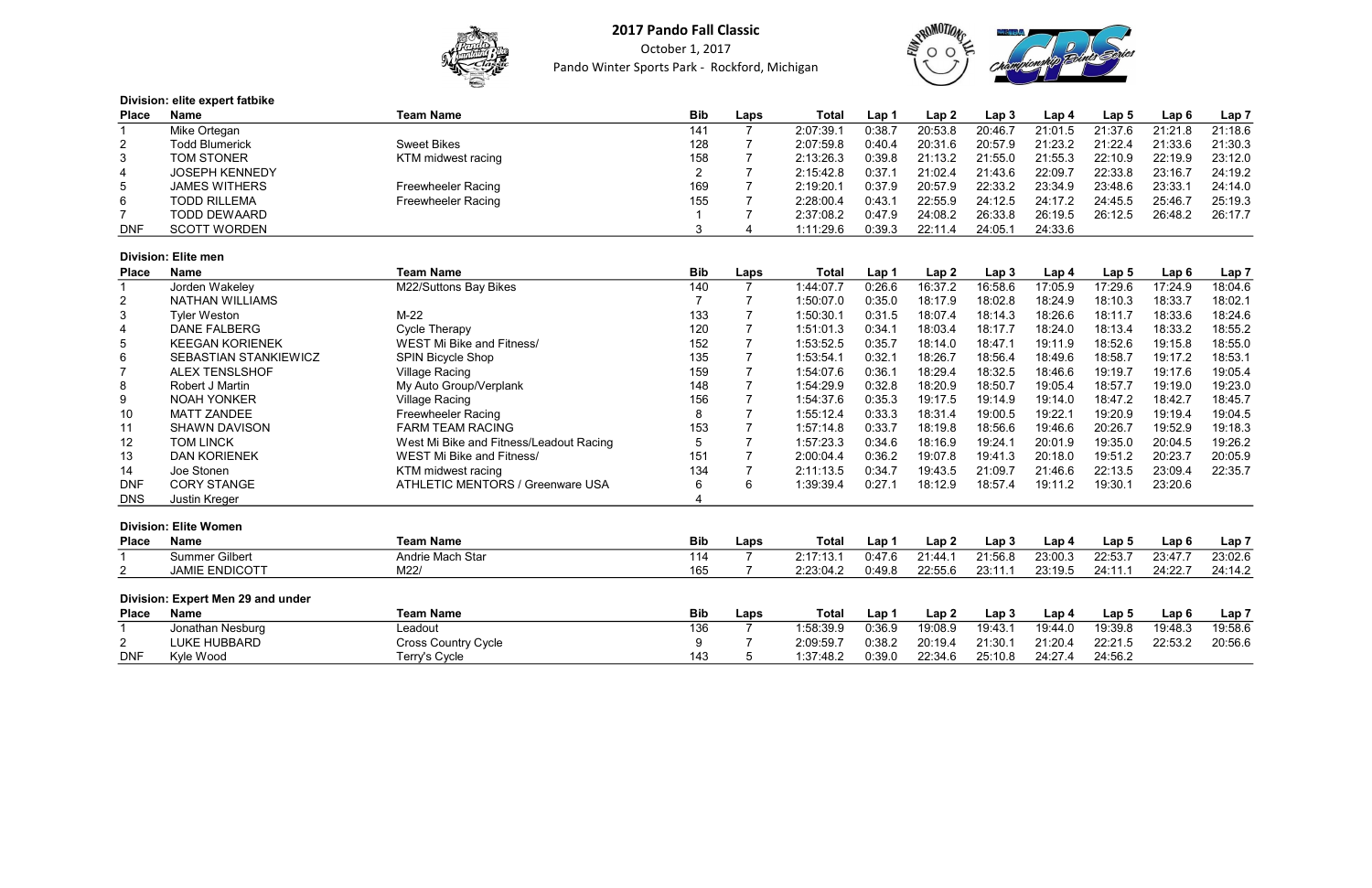

October 1, 2017 Pando Winter Sports Park - Rockford, Michigan



## Division: elite expert fatbike

| <b>Place</b>    | Name                  | <b>Team Name</b>          | <b>Bib</b> | Laps | Total     | Lap <sup>7</sup> | Lap <sub>2</sub> | Lap 3   | Lap 4   | Lap 5   | Lap 6   | Lap 7   |
|-----------------|-----------------------|---------------------------|------------|------|-----------|------------------|------------------|---------|---------|---------|---------|---------|
|                 | Mike Ortegan          |                           | 141        |      | 2:07:39.7 | 0:38.7           | 20:53.8          | 20:46.7 | 21:01.5 | 21:37.6 | 21:21.8 | 21:18.6 |
|                 | <b>Todd Blumerick</b> | <b>Sweet Bikes</b>        | 128        |      | 2:07:59.8 | 0:40.4           | 20:31.6          | 20:57.9 | 21:23.2 | 21:22.4 | 21:33.6 | 21:30.3 |
| 3               | <b>TOM STONER</b>     | KTM midwest racing        | 158        |      | 2:13:26.3 | 0:39.8           | 21:13.2          | 21:55.0 | 21:55.3 | 22:10.9 | 22:19.9 | 23:12.0 |
| 4               | <b>JOSEPH KENNEDY</b> |                           |            |      | 2:15:42.8 | 0:37.1           | 21:02.4          | 21:43.6 | 22:09.7 | 22:33.8 | 23:16.7 | 24:19.2 |
| $5\overline{)}$ | <b>JAMES WITHERS</b>  | <b>Freewheeler Racing</b> | 169        |      | 2:19:20.1 | 0:37.9           | 20:57.9          | 22:33.2 | 23:34.9 | 23:48.6 | 23:33.1 | 24:14.0 |
| 6               | <b>TODD RILLEMA</b>   | <b>Freewheeler Racing</b> | 155        |      | 2:28:00.4 | 0:43.1           | 22:55.9          | 24:12.5 | 24:17.2 | 24:45.5 | 25:46.7 | 25:19.3 |
|                 | <b>TODD DEWAARD</b>   |                           |            |      | 2:37:08.2 | 0:47.9           | 24:08.2          | 26:33.8 | 26:19.5 | 26:12.5 | 26:48.2 | 26:17.7 |
| <b>DNF</b>      | <b>SCOTT WORDEN</b>   |                           |            |      | 1:11:29.6 | 0:39.3           | 22:11.4          | 24:05.1 | 24:33.6 |         |         |         |

#### Division: Elite men

| <b>Place</b>    | Name                         | <b>Team Name</b>                        | <b>Bib</b> | Laps | Total     | Lap 1  | Lap 2   | Lap 3   | Lap 4   | Lap <sub>5</sub> | Lap6    | Lap 7   |
|-----------------|------------------------------|-----------------------------------------|------------|------|-----------|--------|---------|---------|---------|------------------|---------|---------|
|                 | Jorden Wakeley               | M22/Suttons Bay Bikes                   | 140        |      | 1:44:07.7 | 0:26.6 | 16:37.2 | 16:58.6 | 17:05.9 | 17:29.6          | 17:24.9 | 18:04.6 |
| $\overline{2}$  | NATHAN WILLIAMS              |                                         |            |      | 1:50:07.0 | 0:35.0 | 18:17.9 | 18:02.8 | 18:24.9 | 18:10.3          | 18:33.7 | 18:02.1 |
| 3               | <b>Tyler Weston</b>          | M-22                                    | 133        |      | 1:50:30.1 | 0:31.5 | 18:07.4 | 18:14.3 | 18:26.6 | 18:11.7          | 18:33.6 | 18:24.6 |
| 4               | DANE FALBERG                 | Cycle Therapy                           | 120        |      | 1:51:01.3 | 0:34.1 | 18:03.4 | 18:17.7 | 18:24.0 | 18:13.4          | 18:33.2 | 18:55.2 |
| 5               | <b>KEEGAN KORIENEK</b>       | <b>WEST Mi Bike and Fitness/</b>        | 152        |      | 1:53:52.5 | 0:35.7 | 18:14.0 | 18:47.1 | 19:11.9 | 18:52.6          | 19:15.8 | 18:55.0 |
| 6               | <b>SEBASTIAN STANKIEWICZ</b> | <b>SPIN Bicycle Shop</b>                | 135        |      | 1:53:54.1 | 0:32.1 | 18:26.7 | 18:56.4 | 18:49.6 | 18:58.7          | 19:17.2 | 18:53.1 |
| $\overline{ }$  | <b>ALEX TENSLSHOF</b>        | Village Racing                          | 159        |      | 1:54:07.6 | 0:36.1 | 18:29.4 | 18:32.5 | 18:46.6 | 19:19.7          | 19:17.6 | 19:05.4 |
| 8               | Robert J Martin              | My Auto Group/Verplank                  | 148        |      | 1:54:29.9 | 0:32.8 | 18:20.9 | 18:50.7 | 19:05.4 | 18:57.7          | 19:19.0 | 19:23.0 |
| 9               | <b>NOAH YONKER</b>           | <b>Village Racing</b>                   | 156        |      | 1:54:37.6 | 0:35.3 | 19:17.5 | 19:14.9 | 19:14.0 | 18:47.2          | 18:42.7 | 18:45.7 |
| 10              | <b>MATT ZANDEE</b>           | <b>Freewheeler Racing</b>               |            |      | 1:55:12.4 | 0:33.3 | 18:31.4 | 19:00.5 | 19:22.1 | 19:20.9          | 19:19.4 | 19:04.5 |
| 11              | <b>SHAWN DAVISON</b>         | <b>FARM TEAM RACING</b>                 | 153        |      | 1:57:14.8 | 0:33.7 | 18:19.8 | 18:56.6 | 19:46.6 | 20:26.7          | 19:52.9 | 19:18.3 |
| 12 <sup>2</sup> | <b>TOM LINCK</b>             | West Mi Bike and Fitness/Leadout Racing |            |      | 1:57:23.3 | 0:34.6 | 18:16.9 | 19:24.1 | 20:01.9 | 19:35.0          | 20:04.5 | 19:26.2 |
| 13              | <b>DAN KORIENEK</b>          | WEST Mi Bike and Fitness/               | 151        |      | 2:00:04.4 | 0:36.2 | 19:07.8 | 19:41.3 | 20:18.0 | 19:51.2          | 20:23.7 | 20:05.9 |
| 14              | Joe Stonen                   | KTM midwest racing                      | 134        |      | 2:11:13.5 | 0:34.7 | 19:43.5 | 21:09.7 | 21:46.6 | 22:13.5          | 23:09.4 | 22:35.7 |
| <b>DNF</b>      | <b>CORY STANGE</b>           | <b>ATHLETIC MENTORS / Greenware USA</b> | 6          | 6    | 1:39:39.4 | 0:27.1 | 18:12.9 | 18:57.4 | 19:11.2 | 19:30.1          | 23:20.6 |         |
| <b>DNS</b>      | Justin Kreger                |                                         |            |      |           |        |         |         |         |                  |         |         |

## Division: Elite Women

| <b>Place</b> | <b>Name</b>           | <b>Team Name</b> | <b>Bib</b> | Laps | Tota.        | $\mathsf{Lap}$ | 'Lap 2  | $\mathsf{\small \textsf{Lap}}\ 3$ | ∟ap 4   | Lap 5   | Lap 6   | Lap i   |
|--------------|-----------------------|------------------|------------|------|--------------|----------------|---------|-----------------------------------|---------|---------|---------|---------|
|              | <b>Summer Gilbert</b> | Andrie Mach Star |            |      | 2.17.12<br>. | .47.6          | 21.44   | 21:56.8                           | 23:00.3 | 22:53.7 | 23:47.7 | 23:02.6 |
|              | <b>JAMIE ENDICOTT</b> | M22              | 165        |      | 2:23:04.2    | :49.8          | 22:55.6 | 22.11                             | 23:19.5 | 24.11   | 24.227  | 24:14.2 |

## Division: Expert Men 29 and under

| <b>Place</b> | <b>Name</b>      | Team Name                  | <b>Bib</b> | Laps | <b>Total</b> | Lap    | Lap 2   | Lap 3   | Lap 4   | Lap 5   | Lap 6   | Lap 7   |
|--------------|------------------|----------------------------|------------|------|--------------|--------|---------|---------|---------|---------|---------|---------|
|              | Jonathan Nesburg | ∟eadout                    | 136        |      | 1:58:39.9    | 0:36.9 | 19:08.9 | 19:43.7 | 19:44.0 | 19:39.8 | 19:48.3 | 19:58.6 |
| <u>_</u>     | LUKE HUBBARD     | <b>Cross Country Cycle</b> |            |      | 2:09:59.7    | J:38.2 | 20:19.4 | 21:30.7 | 21:20.4 | 22:21.5 | 22:53.2 | 20:56.6 |
| <b>DNF</b>   | Kyle Wood        | <b>Terry's Cycle</b>       | 143        |      | 1:37:48.2    | 0:39.0 | 22:34.6 | 25:10.8 | 24:27.4 | 24:56.2 |         |         |



| Lap 4   | Lap <sub>5</sub>                                                                                                                                                             | Lap <sub>6</sub>                                                                                                                                                             | Lap <sub>7</sub>                                                                                                                                                  |
|---------|------------------------------------------------------------------------------------------------------------------------------------------------------------------------------|------------------------------------------------------------------------------------------------------------------------------------------------------------------------------|-------------------------------------------------------------------------------------------------------------------------------------------------------------------|
| 21:01.5 | 21:37.6                                                                                                                                                                      | 21:21.8                                                                                                                                                                      | 21:18.6                                                                                                                                                           |
| 21:23.2 | 21:22.4                                                                                                                                                                      | 21:33.6                                                                                                                                                                      | 21:30.3                                                                                                                                                           |
| 21:55.3 | 22:10.9                                                                                                                                                                      | 22:19.9                                                                                                                                                                      | 23:12.0                                                                                                                                                           |
| 22:09.7 | 22:33.8                                                                                                                                                                      | 23:16.7                                                                                                                                                                      | 24:19.2                                                                                                                                                           |
|         |                                                                                                                                                                              | 23:33.1                                                                                                                                                                      | 24:14.0                                                                                                                                                           |
| 24:17.2 | 24:45.5                                                                                                                                                                      | 25:46.7                                                                                                                                                                      | 25:19.3                                                                                                                                                           |
| 26:19.5 | 26:12.5                                                                                                                                                                      | 26:48.2                                                                                                                                                                      | 26:17.7                                                                                                                                                           |
| 24:33.6 |                                                                                                                                                                              |                                                                                                                                                                              |                                                                                                                                                                   |
|         |                                                                                                                                                                              |                                                                                                                                                                              |                                                                                                                                                                   |
| Lap 4   | Lap <sub>5</sub>                                                                                                                                                             | Lap <sub>6</sub>                                                                                                                                                             | Lap <sub>7</sub>                                                                                                                                                  |
|         |                                                                                                                                                                              |                                                                                                                                                                              | 18:04.6                                                                                                                                                           |
|         |                                                                                                                                                                              |                                                                                                                                                                              | 18:02.1                                                                                                                                                           |
|         |                                                                                                                                                                              |                                                                                                                                                                              | 18:24.6                                                                                                                                                           |
|         |                                                                                                                                                                              |                                                                                                                                                                              | 18:55.2                                                                                                                                                           |
|         |                                                                                                                                                                              |                                                                                                                                                                              | 18:55.0                                                                                                                                                           |
|         |                                                                                                                                                                              |                                                                                                                                                                              | 18:53.1                                                                                                                                                           |
|         |                                                                                                                                                                              |                                                                                                                                                                              | 19:05.4                                                                                                                                                           |
|         |                                                                                                                                                                              |                                                                                                                                                                              | 19:23.0                                                                                                                                                           |
|         |                                                                                                                                                                              |                                                                                                                                                                              | 18:45.7                                                                                                                                                           |
|         |                                                                                                                                                                              |                                                                                                                                                                              | 19:04.5                                                                                                                                                           |
|         |                                                                                                                                                                              |                                                                                                                                                                              | 19:18.3                                                                                                                                                           |
|         |                                                                                                                                                                              |                                                                                                                                                                              | 19:26.2                                                                                                                                                           |
|         |                                                                                                                                                                              |                                                                                                                                                                              | 20:05.9                                                                                                                                                           |
|         |                                                                                                                                                                              |                                                                                                                                                                              | 22:35.7                                                                                                                                                           |
|         |                                                                                                                                                                              |                                                                                                                                                                              |                                                                                                                                                                   |
|         |                                                                                                                                                                              |                                                                                                                                                                              |                                                                                                                                                                   |
| Lap 4   | Lap <sub>5</sub>                                                                                                                                                             | Lap <sub>6</sub>                                                                                                                                                             | $Lap$ $7$                                                                                                                                                         |
| 23:00.3 | 22:53.7                                                                                                                                                                      | 23:47.7                                                                                                                                                                      | 23:02.6                                                                                                                                                           |
| 23:19.5 | 24:11.1                                                                                                                                                                      | 24:22.7                                                                                                                                                                      | 24:14.2                                                                                                                                                           |
|         |                                                                                                                                                                              |                                                                                                                                                                              |                                                                                                                                                                   |
| Lap 4   | Lap <sub>5</sub>                                                                                                                                                             | Lap <sub>6</sub>                                                                                                                                                             | Lap <sub>7</sub>                                                                                                                                                  |
| 19:44.0 | 19:39.8                                                                                                                                                                      | 19:48.3                                                                                                                                                                      | 19:58.6                                                                                                                                                           |
| 21:20.4 | 22:21.5                                                                                                                                                                      | 22:53.2                                                                                                                                                                      | 20:56.6                                                                                                                                                           |
| 24:27.4 | 24:56.2                                                                                                                                                                      |                                                                                                                                                                              |                                                                                                                                                                   |
|         | 23:34.9<br>17:05.9<br>18:24.9<br>18:26.6<br>18:24.0<br>19:11.9<br>18:49.6<br>18:46.6<br>19:05.4<br>19:14.0<br>19:22.1<br>19:46.6<br>20:01.9<br>20:18.0<br>21:46.6<br>19:11.2 | 23:48.6<br>17:29.6<br>18:10.3<br>18:11.7<br>18:13.4<br>18:52.6<br>18:58.7<br>19:19.7<br>18:57.7<br>18:47.2<br>19:20.9<br>20:26.7<br>19:35.0<br>19:51.2<br>22:13.5<br>19:30.1 | 17:24.9<br>18:33.7<br>18:33.6<br>18:33.2<br>19:15.8<br>19:17.2<br>19:17.6<br>19:19.0<br>18:42.7<br>19:19.4<br>19:52.9<br>20:04.5<br>20:23.7<br>23:09.4<br>23:20.6 |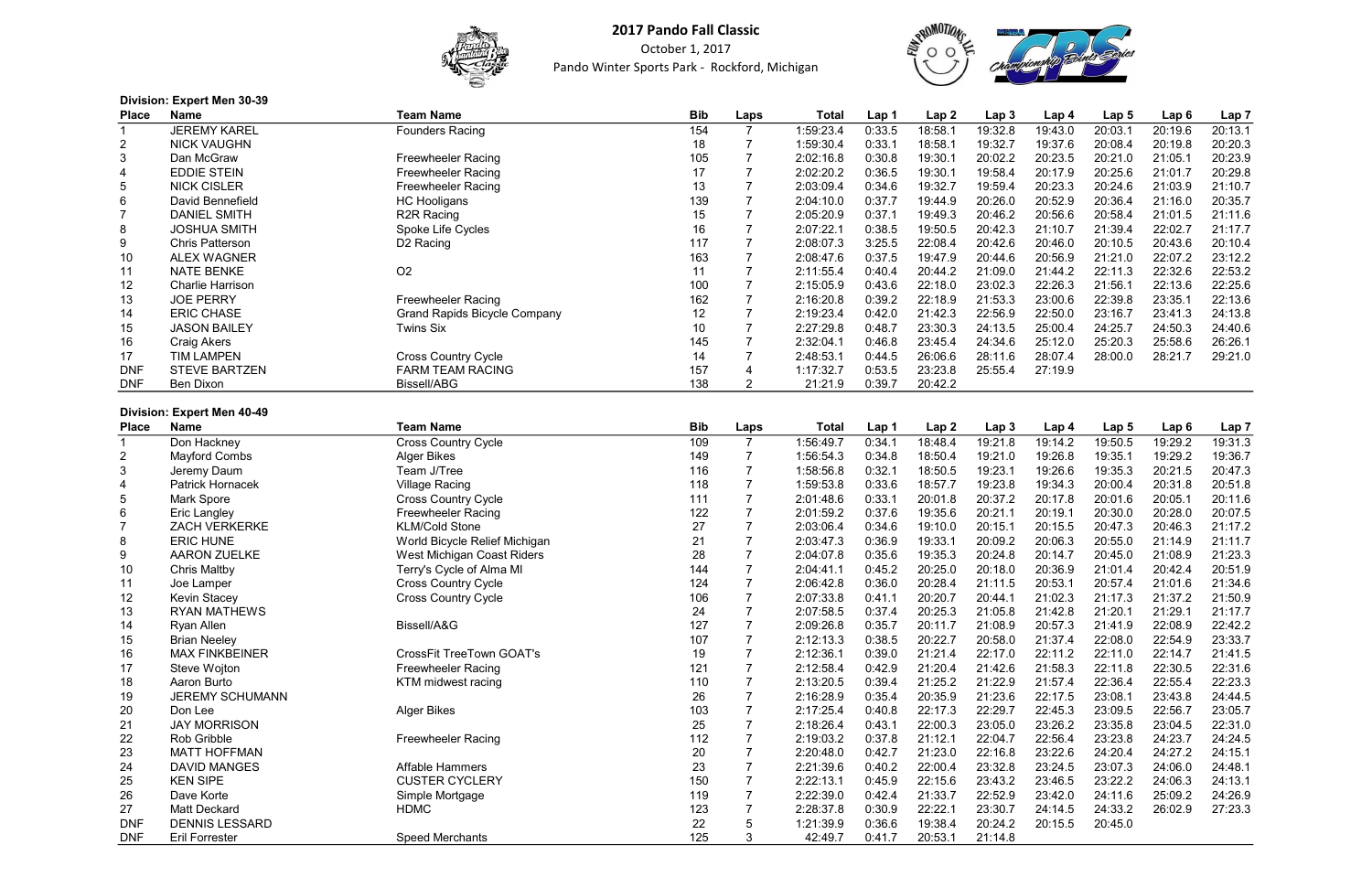

October 1, 2017 Pando Winter Sports Park - Rockford, Michigan



| Division: Expert Men 30-39 |  |  |
|----------------------------|--|--|
|                            |  |  |

| <b>Place</b>   | _______________<br><b>Name</b> | Team Name                           | <b>Bib</b> | Laps | Total     | Lap 1  | Lap2    | Lap 3   | Lap 4   | Lap <sub>5</sub> | Lap6    | Lap <sub>7</sub> |
|----------------|--------------------------------|-------------------------------------|------------|------|-----------|--------|---------|---------|---------|------------------|---------|------------------|
|                | <b>JEREMY KAREL</b>            | <b>Founders Racing</b>              | 154        |      | 1:59:23.4 | 0:33.5 | 18:58.1 | 19:32.8 | 19:43.0 | 20:03.1          | 20:19.6 | 20:13.1          |
| $\overline{2}$ | <b>NICK VAUGHN</b>             |                                     | 18         |      | 1:59:30.4 | 0:33.1 | 18:58.1 | 19:32.7 | 19:37.6 | 20:08.4          | 20:19.8 | 20:20.3          |
| 3              | Dan McGraw                     | <b>Freewheeler Racing</b>           | 105        |      | 2:02:16.8 | 0:30.8 | 19:30.1 | 20:02.2 | 20:23.5 | 20:21.0          | 21:05.1 | 20:23.9          |
| 4              | <b>EDDIE STEIN</b>             | <b>Freewheeler Racing</b>           | 17         |      | 2:02:20.2 | 0:36.5 | 19:30.1 | 19:58.4 | 20:17.9 | 20:25.6          | 21:01.7 | 20:29.8          |
| 5              | <b>NICK CISLER</b>             | <b>Freewheeler Racing</b>           | 13         |      | 2:03:09.4 | 0:34.6 | 19:32.7 | 19:59.4 | 20:23.3 | 20:24.6          | 21:03.9 | 21:10.7          |
| 6              | David Bennefield               | <b>HC Hooligans</b>                 | 139        |      | 2:04:10.0 | 0:37.7 | 19:44.9 | 20:26.0 | 20:52.9 | 20:36.4          | 21:16.0 | 20:35.7          |
|                | <b>DANIEL SMITH</b>            | R <sub>2R</sub> Racing              | 15         |      | 2:05:20.9 | 0:37.1 | 19:49.3 | 20:46.2 | 20:56.6 | 20:58.4          | 21:01.5 | 21:11.6          |
| 8              | <b>JOSHUA SMITH</b>            | Spoke Life Cycles                   | 16         |      | 2:07:22.1 | 0:38.5 | 19:50.5 | 20:42.3 | 21:10.7 | 21:39.4          | 22:02.7 | 21:17.7          |
| 9              | <b>Chris Patterson</b>         | D <sub>2</sub> Racing               | 117        |      | 2:08:07.3 | 3:25.5 | 22:08.4 | 20:42.6 | 20:46.0 | 20:10.5          | 20:43.6 | 20:10.4          |
| 10             | <b>ALEX WAGNER</b>             |                                     | 163        |      | 2:08:47.6 | 0:37.5 | 19:47.9 | 20:44.6 | 20:56.9 | 21:21.0          | 22:07.2 | 23:12.2          |
| 11             | <b>NATE BENKE</b>              | O <sub>2</sub>                      | 11         |      | 2:11:55.4 | 0:40.4 | 20:44.2 | 21:09.0 | 21:44.2 | 22:11.3          | 22:32.6 | 22:53.2          |
| 12             | <b>Charlie Harrison</b>        |                                     | 100        |      | 2:15:05.9 | 0:43.6 | 22:18.0 | 23:02.3 | 22:26.3 | 21:56.1          | 22:13.6 | 22:25.6          |
| 13             | <b>JOE PERRY</b>               | <b>Freewheeler Racing</b>           | 162        |      | 2:16:20.8 | 0:39.2 | 22:18.9 | 21:53.3 | 23:00.6 | 22:39.8          | 23:35.1 | 22:13.6          |
| 14             | <b>ERIC CHASE</b>              | <b>Grand Rapids Bicycle Company</b> | 12         |      | 2:19:23.4 | 0:42.0 | 21:42.3 | 22:56.9 | 22:50.0 | 23:16.7          | 23:41.3 | 24:13.8          |
| 15             | <b>JASON BAILEY</b>            | Twins Six                           | 10         |      | 2:27:29.8 | 0:48.7 | 23:30.3 | 24:13.5 | 25:00.4 | 24:25.7          | 24:50.3 | 24:40.6          |
| 16             | Craig Akers                    |                                     | 145        |      | 2:32:04.1 | 0:46.8 | 23:45.4 | 24:34.6 | 25:12.0 | 25:20.3          | 25:58.6 | 26:26.1          |
| 17             | TIM LAMPEN                     | <b>Cross Country Cycle</b>          | 14         |      | 2:48:53.1 | 0:44.5 | 26:06.6 | 28:11.6 | 28:07.4 | 28:00.0          | 28:21.7 | 29:21.0          |
| <b>DNF</b>     | <b>STEVE BARTZEN</b>           | <b>FARM TEAM RACING</b>             | 157        |      | 1:17:32.7 | 0:53.5 | 23:23.8 | 25:55.4 | 27:19.9 |                  |         |                  |
| <b>DNF</b>     | Ben Dixon                      | Bissell/ABG                         | 138        |      | 21:21.9   | 0:39.7 | 20:42.2 |         |         |                  |         |                  |

#### Division: Expert Men 40-49

| <b>Place</b>   | <b>Name</b>            | <b>Team Name</b>                | <b>Bib</b> | Laps           | <b>Total</b> | Lap 1  | Lap2    | Lap <sub>3</sub> | Lap <sub>4</sub> | Lap <sub>5</sub> | Lap6    | Lap <sub>7</sub> |
|----------------|------------------------|---------------------------------|------------|----------------|--------------|--------|---------|------------------|------------------|------------------|---------|------------------|
|                | Don Hackney            | Cross Country Cycle             | 109        | $\overline{7}$ | 1:56:49.7    | 0:34.1 | 18:48.4 | 19:21.8          | 19:14.2          | 19:50.5          | 19:29.2 | 19:31.3          |
| $\overline{2}$ | <b>Mayford Combs</b>   | Alger Bikes                     | 149        |                | 1:56:54.3    | 0:34.8 | 18:50.4 | 19:21.0          | 19:26.8          | 19:35.1          | 19:29.2 | 19:36.7          |
| 3              | Jeremy Daum            | Team J/Tree                     | 116        | $\overline{7}$ | 1:58:56.8    | 0:32.1 | 18:50.5 | 19:23.1          | 19:26.6          | 19:35.3          | 20:21.5 | 20:47.3          |
| 4              | Patrick Hornacek       | <b>Village Racing</b>           | 118        | $\overline{7}$ | 1:59:53.8    | 0:33.6 | 18:57.7 | 19:23.8          | 19:34.3          | 20:00.4          | 20:31.8 | 20:51.8          |
| 5              | <b>Mark Spore</b>      | <b>Cross Country Cycle</b>      | 111        | $\overline{7}$ | 2:01:48.6    | 0:33.1 | 20:01.8 | 20:37.2          | 20:17.8          | 20:01.6          | 20:05.1 | 20:11.6          |
| 6              | <b>Eric Langley</b>    | <b>Freewheeler Racing</b>       | 122        |                | 2:01:59.2    | 0:37.6 | 19:35.6 | 20:21.1          | 20:19.1          | 20:30.0          | 20:28.0 | 20:07.5          |
|                | <b>ZACH VERKERKE</b>   | <b>KLM/Cold Stone</b>           | 27         |                | 2:03:06.4    | 0:34.6 | 19:10.0 | 20:15.1          | 20:15.5          | 20:47.3          | 20:46.3 | 21:17.2          |
| 8              | <b>ERIC HUNE</b>       | World Bicycle Relief Michigan   | 21         |                | 2:03:47.3    | 0:36.9 | 19:33.1 | 20:09.2          | 20:06.3          | 20:55.0          | 21:14.9 | 21:11.7          |
| 9              | <b>AARON ZUELKE</b>    | West Michigan Coast Riders      | 28         |                | 2:04:07.8    | 0:35.6 | 19:35.3 | 20:24.8          | 20:14.7          | 20:45.0          | 21:08.9 | 21:23.3          |
| 10             | <b>Chris Maltby</b>    | Terry's Cycle of Alma MI        | 144        | $\overline{7}$ | 2:04:41.1    | 0:45.2 | 20:25.0 | 20:18.0          | 20:36.9          | 21:01.4          | 20:42.4 | 20:51.9          |
| 11             | Joe Lamper             | Cross Country Cycle             | 124        |                | 2:06:42.8    | 0:36.0 | 20:28.4 | 21:11.5          | 20:53.1          | 20:57.4          | 21:01.6 | 21:34.6          |
| 12             | <b>Kevin Stacey</b>    | Cross Country Cycle             | 106        |                | 2:07:33.8    | 0:41.1 | 20:20.7 | 20:44.1          | 21:02.3          | 21:17.3          | 21:37.2 | 21:50.9          |
| 13             | <b>RYAN MATHEWS</b>    |                                 | 24         |                | 2:07:58.5    | 0:37.4 | 20:25.3 | 21:05.8          | 21:42.8          | 21:20.1          | 21:29.1 | 21:17.7          |
| 14             | Ryan Allen             | Bissell/A&G                     | 127        | $\overline{7}$ | 2:09:26.8    | 0:35.7 | 20:11.7 | 21:08.9          | 20:57.3          | 21:41.9          | 22:08.9 | 22:42.2          |
| 15             | <b>Brian Neeley</b>    |                                 | 107        |                | 2:12:13.3    | 0:38.5 | 20:22.7 | 20:58.0          | 21:37.4          | 22:08.0          | 22:54.9 | 23:33.7          |
| 16             | <b>MAX FINKBEINER</b>  | <b>CrossFit TreeTown GOAT's</b> | 19         |                | 2:12:36.1    | 0:39.0 | 21:21.4 | 22:17.0          | 22:11.2          | 22:11.0          | 22:14.7 | 21:41.5          |
| 17             | Steve Wojton           | <b>Freewheeler Racing</b>       | 121        |                | 2:12:58.4    | 0:42.9 | 21:20.4 | 21:42.6          | 21:58.3          | 22:11.8          | 22:30.5 | 22:31.6          |
| 18             | Aaron Burto            | KTM midwest racing              | 110        |                | 2:13:20.5    | 0:39.4 | 21:25.2 | 21:22.9          | 21:57.4          | 22:36.4          | 22:55.4 | 22:23.3          |
| 19             | <b>JEREMY SCHUMANN</b> |                                 | 26         |                | 2:16:28.9    | 0:35.4 | 20:35.9 | 21:23.6          | 22:17.5          | 23:08.1          | 23:43.8 | 24:44.5          |
| 20             | Don Lee                | <b>Alger Bikes</b>              | 103        |                | 2:17:25.4    | 0:40.8 | 22:17.3 | 22:29.7          | 22:45.3          | 23:09.5          | 22:56.7 | 23:05.7          |
| 21             | <b>JAY MORRISON</b>    |                                 | 25         |                | 2:18:26.4    | 0:43.1 | 22:00.3 | 23:05.0          | 23:26.2          | 23:35.8          | 23:04.5 | 22:31.0          |
| 22             | Rob Gribble            | <b>Freewheeler Racing</b>       | 112        |                | 2:19:03.2    | 0:37.8 | 21:12.1 | 22:04.7          | 22:56.4          | 23:23.8          | 24:23.7 | 24:24.5          |
| 23             | <b>MATT HOFFMAN</b>    |                                 | 20         |                | 2:20:48.0    | 0:42.7 | 21:23.0 | 22:16.8          | 23:22.6          | 24:20.4          | 24:27.2 | 24:15.1          |
| 24             | <b>DAVID MANGES</b>    | Affable Hammers                 | 23         | $\overline{7}$ | 2:21:39.6    | 0:40.2 | 22:00.4 | 23:32.8          | 23:24.5          | 23:07.3          | 24:06.0 | 24:48.1          |
| 25             | <b>KEN SIPE</b>        | <b>CUSTER CYCLERY</b>           | 150        | $\overline{7}$ | 2:22:13.1    | 0:45.9 | 22:15.6 | 23:43.2          | 23:46.5          | 23:22.2          | 24:06.3 | 24:13.1          |
| 26             | Dave Korte             | Simple Mortgage                 | 119        | $\overline{7}$ | 2:22:39.0    | 0:42.4 | 21:33.7 | 22:52.9          | 23:42.0          | 24:11.6          | 25:09.2 | 24:26.9          |
| 27             | <b>Matt Deckard</b>    | <b>HDMC</b>                     | 123        |                | 2:28:37.8    | 0:30.9 | 22:22.1 | 23:30.7          | 24:14.5          | 24:33.2          | 26:02.9 | 27:23.3          |
| <b>DNF</b>     | <b>DENNIS LESSARD</b>  |                                 | 22         | 5              | 1:21:39.9    | 0:36.6 | 19:38.4 | 20:24.2          | 20:15.5          | 20:45.0          |         |                  |
| <b>DNF</b>     | <b>Eril Forrester</b>  | <b>Speed Merchants</b>          | 125        | 3              | 42:49.7      | 0:41.7 | 20:53.1 | 21:14.8          |                  |                  |         |                  |

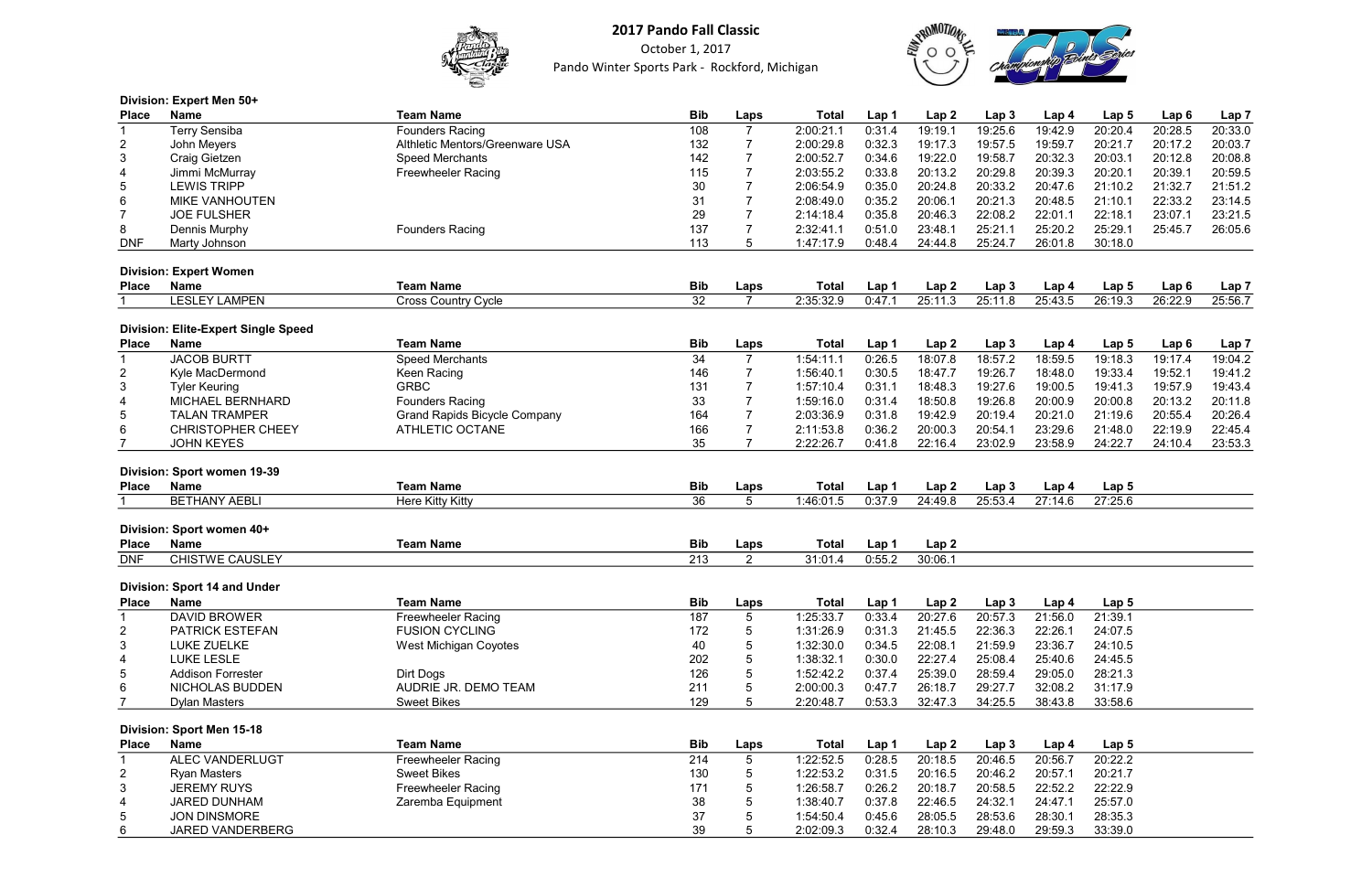

October 1, 2017 Pando Winter Sports Park - Rockford, Michigan



|                | Division: Expert Men 50+                   |                                     |                 |                |              |        |                  |                  |         |                  |                  |                  |
|----------------|--------------------------------------------|-------------------------------------|-----------------|----------------|--------------|--------|------------------|------------------|---------|------------------|------------------|------------------|
| <b>Place</b>   | <b>Name</b>                                | <b>Team Name</b>                    | <b>Bib</b>      | Laps           | <b>Total</b> | Lap 1  | Lap <sub>2</sub> | Lap <sub>3</sub> | Lap 4   | Lap 5            | Lap <sub>6</sub> | Lap <sub>7</sub> |
|                | <b>Terry Sensiba</b>                       | <b>Founders Racing</b>              | 108             | $\overline{7}$ | 2:00:21.1    | 0:31.4 | 19:19.1          | 19:25.6          | 19:42.9 | 20:20.4          | 20:28.5          | 20:33.0          |
| $\overline{2}$ | John Meyers                                | Althletic Mentors/Greenware USA     | 132             | $\overline{7}$ | 2:00:29.8    | 0:32.3 | 19:17.3          | 19:57.5          | 19:59.7 | 20:21.7          | 20:17.2          | 20:03.7          |
| 3              | Craig Gietzen                              | <b>Speed Merchants</b>              | 142             | $\overline{7}$ | 2:00:52.7    | 0:34.6 | 19:22.0          | 19:58.7          | 20:32.3 | 20:03.1          | 20:12.8          | 20:08.8          |
| 4              | Jimmi McMurray                             | <b>Freewheeler Racing</b>           | 115             | $\overline{7}$ | 2:03:55.2    | 0:33.8 | 20:13.2          | 20:29.8          | 20:39.3 | 20:20.1          | 20:39.1          | 20:59.5          |
| 5              | <b>LEWIS TRIPP</b>                         |                                     | 30              | $\overline{7}$ | 2:06:54.9    | 0:35.0 | 20:24.8          | 20:33.2          | 20:47.6 | 21:10.2          | 21:32.7          | 21:51.2          |
| 6              | <b>MIKE VANHOUTEN</b>                      |                                     | 31              | $\overline{7}$ | 2:08:49.0    | 0:35.2 | 20:06.1          | 20:21.3          | 20:48.5 | 21:10.1          | 22:33.2          | 23:14.5          |
| $\overline{7}$ | <b>JOE FULSHER</b>                         |                                     | 29              | $\overline{7}$ | 2:14:18.4    | 0:35.8 | 20:46.3          | 22:08.2          | 22:01.1 | 22:18.1          | 23:07.1          | 23:21.5          |
| 8              | <b>Dennis Murphy</b>                       | <b>Founders Racing</b>              | 137             | $\overline{7}$ | 2:32:41.1    | 0:51.0 | 23:48.1          | 25:21.1          | 25:20.2 | 25:29.1          | 25:45.7          | 26:05.6          |
| <b>DNF</b>     | Marty Johnson                              |                                     | 113             | 5              | 1:47:17.9    | 0:48.4 | 24:44.8          | 25:24.7          | 26:01.8 | 30:18.0          |                  |                  |
|                | <b>Division: Expert Women</b>              |                                     |                 |                |              |        |                  |                  |         |                  |                  |                  |
| <b>Place</b>   | <b>Name</b>                                | <b>Team Name</b>                    | <b>Bib</b>      | Laps           | <b>Total</b> | Lap 1  | Lap <sub>2</sub> | Lap <sub>3</sub> | Lap 4   | Lap <sub>5</sub> | Lap <sub>6</sub> | Lap <sub>7</sub> |
|                | <b>LESLEY LAMPEN</b>                       | <b>Cross Country Cycle</b>          | 32              | $\overline{7}$ | 2:35:32.9    | 0:47.1 | 25:11.3          | 25:11.8          | 25:43.5 | 26:19.3          | 26:22.9          | 25:56.7          |
|                | <b>Division: Elite-Expert Single Speed</b> |                                     |                 |                |              |        |                  |                  |         |                  |                  |                  |
| <b>Place</b>   | <b>Name</b>                                | <b>Team Name</b>                    | <b>Bib</b>      | Laps           | <b>Total</b> | Lap 1  | Lap <sub>2</sub> | Lap <sub>3</sub> | Lap 4   | Lap <sub>5</sub> | Lap <sub>6</sub> | Lap <sub>7</sub> |
| $\mathbf 1$    | <b>JACOB BURTT</b>                         | <b>Speed Merchants</b>              | 34              | $\overline{7}$ | 1:54:11.1    | 0:26.5 | 18:07.8          | 18:57.2          | 18:59.5 | 19:18.3          | 19:17.4          | 19:04.2          |
| $\overline{2}$ | Kyle MacDermond                            | Keen Racing                         | 146             | $\overline{7}$ | 1:56:40.1    | 0:30.5 | 18:47.7          | 19:26.7          | 18:48.0 | 19:33.4          | 19:52.1          | 19:41.2          |
| 3              | <b>Tyler Keuring</b>                       | <b>GRBC</b>                         | 131             | $\overline{7}$ | 1:57:10.4    | 0:31.1 | 18:48.3          | 19:27.6          | 19:00.5 | 19:41.3          | 19:57.9          | 19:43.4          |
| 4              | MICHAEL BERNHARD                           | <b>Founders Racing</b>              | 33              | 7              | 1:59:16.0    | 0:31.4 | 18:50.8          | 19:26.8          | 20:00.9 | 20:00.8          | 20:13.2          | 20:11.8          |
| 5              | <b>TALAN TRAMPER</b>                       | <b>Grand Rapids Bicycle Company</b> | 164             | $\overline{7}$ | 2:03:36.9    | 0:31.8 | 19:42.9          | 20:19.4          | 20:21.0 | 21:19.6          | 20:55.4          | 20:26.4          |
| 6              | <b>CHRISTOPHER CHEEY</b>                   | <b>ATHLETIC OCTANE</b>              | 166             |                | 2:11:53.8    | 0:36.2 | 20:00.3          | 20:54.1          | 23:29.6 | 21:48.0          | 22:19.9          | 22:45.4          |
|                | <b>JOHN KEYES</b>                          |                                     | 35              |                | 2:22:26.7    | 0:41.8 | 22:16.4          | 23:02.9          | 23:58.9 | 24:22.7          | 24:10.4          | 23:53.3          |
|                | Division: Sport women 19-39                |                                     |                 |                |              |        |                  |                  |         |                  |                  |                  |
| <b>Place</b>   | <b>Name</b>                                | <b>Team Name</b>                    | <b>Bib</b>      | Laps           | <b>Total</b> | Lap 1  | Lap <sub>2</sub> | Lap <sub>3</sub> | Lap 4   | Lap <sub>5</sub> |                  |                  |
|                | <b>BETHANY AEBLI</b>                       | Here Kitty Kitty                    | $\overline{36}$ | 5              | 1:46:01.5    | 0:37.9 | 24:49.8          | 25:53.4          | 27:14.6 | 27:25.6          |                  |                  |
|                |                                            |                                     |                 |                |              |        |                  |                  |         |                  |                  |                  |
|                | Division: Sport women 40+                  |                                     |                 |                |              |        |                  |                  |         |                  |                  |                  |
| <b>Place</b>   | <b>Name</b>                                | <b>Team Name</b>                    | <b>Bib</b>      | Laps           | <b>Total</b> | Lap 1  | Lap <sub>2</sub> |                  |         |                  |                  |                  |
| <b>DNF</b>     | <b>CHISTWE CAUSLEY</b>                     |                                     | 213             | $\overline{2}$ | 31:01.4      | 0:55.2 | 30:06.1          |                  |         |                  |                  |                  |
|                | <b>Division: Sport 14 and Under</b>        |                                     |                 |                |              |        |                  |                  |         |                  |                  |                  |
| <b>Place</b>   | <b>Name</b>                                | <b>Team Name</b>                    | <b>Bib</b>      | Laps           | <b>Total</b> | Lap 1  | Lap <sub>2</sub> | Lap <sub>3</sub> | Lap 4   | Lap <sub>5</sub> |                  |                  |
| 1              | <b>DAVID BROWER</b>                        | <b>Freewheeler Racing</b>           | 187             | 5              | 1:25:33.7    | 0:33.4 | 20:27.6          | 20:57.3          | 21:56.0 | 21:39.1          |                  |                  |
| $\overline{2}$ | <b>PATRICK ESTEFAN</b>                     | <b>FUSION CYCLING</b>               | 172             | 5              | 1:31:26.9    | 0:31.3 | 21:45.5          | 22:36.3          | 22:26.1 | 24:07.5          |                  |                  |
| 3              | <b>LUKE ZUELKE</b>                         | <b>West Michigan Coyotes</b>        | 40              | 5              | 1:32:30.0    | 0:34.5 | 22:08.1          | 21:59.9          | 23:36.7 | 24:10.5          |                  |                  |
| 4              | <b>LUKE LESLE</b>                          |                                     | 202             | 5              | 1:38:32.1    | 0:30.0 | 22:27.4          | 25:08.4          | 25:40.6 | 24:45.5          |                  |                  |
| 5              | <b>Addison Forrester</b>                   | Dirt Dogs                           | 126             | 5              | 1:52:42.2    | 0:37.4 | 25:39.0          | 28:59.4          | 29:05.0 | 28:21.3          |                  |                  |
| 6              | <b>NICHOLAS BUDDEN</b>                     | AUDRIE JR. DEMO TEAM                | 211             | 5              | 2:00:00.3    | 0:47.7 | 26:18.7          | 29:27.7          | 32:08.2 | 31:17.9          |                  |                  |
|                | <b>Dylan Masters</b>                       | <b>Sweet Bikes</b>                  | 129             | 5              | 2:20:48.7    | 0:53.3 | 32:47.3          | 34:25.5          | 38:43.8 | 33:58.6          |                  |                  |
|                | <b>Division: Sport Men 15-18</b>           |                                     |                 |                |              |        |                  |                  |         |                  |                  |                  |
| <b>Place</b>   | <b>Name</b>                                | <b>Team Name</b>                    | <b>Bib</b>      | Laps           | <b>Total</b> | Lap 1  | Lap <sub>2</sub> | Lap <sub>3</sub> | Lap 4   | Lap <sub>5</sub> |                  |                  |
| -1             | <b>ALEC VANDERLUGT</b>                     | <b>Freewheeler Racing</b>           | 214             | $\sqrt{5}$     | 1:22:52.5    | 0:28.5 | 20:18.5          | 20:46.5          | 20:56.7 | 20:22.2          |                  |                  |
| $\overline{2}$ | <b>Ryan Masters</b>                        | <b>Sweet Bikes</b>                  | 130             | 5              | 1:22:53.2    | 0:31.5 | 20:16.5          | 20:46.2          | 20:57.1 | 20:21.7          |                  |                  |
| 3              | <b>JEREMY RUYS</b>                         | <b>Freewheeler Racing</b>           | 171             | 5              | 1:26:58.7    | 0:26.2 | 20:18.7          | 20:58.5          | 22:52.2 | 22:22.9          |                  |                  |
| 4              | <b>JARED DUNHAM</b>                        | Zaremba Equipment                   | 38              | 5              | 1:38:40.7    | 0:37.8 | 22:46.5          | 24:32.1          | 24:47.1 | 25:57.0          |                  |                  |
| 5              | <b>JON DINSMORE</b>                        |                                     | 37              | 5              | 1:54:50.4    | 0:45.6 | 28:05.5          | 28:53.6          | 28:30.1 | 28:35.3          |                  |                  |
| 6              | JARED VANDERBERG                           |                                     | 39              | 5              | 2:02:09.3    | 0:32.4 | 28:10.3          | 29:48.0          | 29:59.3 | 33:39.0          |                  |                  |
|                |                                            |                                     |                 |                |              |        |                  |                  |         |                  |                  |                  |



| 3                            | Lap 4              | Lap 5                       | Lap <sub>6</sub>            | Lap <sub>7</sub>            |
|------------------------------|--------------------|-----------------------------|-----------------------------|-----------------------------|
| $\hat{c}$                    | 19:42.9            | 20:20.4                     | 20:28.5                     | 20:33.0                     |
| 5                            | 19:59.7            | 20:21.7                     | 20:17.2                     | 20:03.7                     |
| 7                            | 20:32.3            | 20:03.1                     | 20:12.8                     | 20:08.8                     |
| 8                            | 20:39.3            | 20:20.1                     | 20:39.1                     | 20:59.5                     |
|                              | 20:47.6            | 21:10.2                     | 21:32.7                     | 21:51.2                     |
| 2<br>3                       | 20:48.5            | 21:10.1                     | 22:33.2                     | 23:14.5                     |
| $\overline{c}$               | 22:01.1            | 22:18.1                     | 23:07.1                     | 23:21.5                     |
| 1                            | 25:20.2            | 25:29.1                     | 25:45.7                     | 26:05.6                     |
| $\overline{1}$               | 26:01.8            | 30:18.0                     |                             |                             |
|                              |                    |                             |                             |                             |
|                              |                    |                             |                             |                             |
| 3<br>$\overline{\mathbf{3}}$ | Lap 4<br>25:43.5   | Lap <sub>5</sub><br>26:19.3 | Lap <sub>6</sub><br>26:22.9 | Lap <sub>7</sub><br>25:56.7 |
|                              |                    |                             |                             |                             |
|                              |                    |                             |                             |                             |
| 3                            | Lap 4              | Lap <sub>5</sub>            | Lap <sub>6</sub>            | Lap <sub>7</sub>            |
| 2<br>7                       | 18:59.5            | 19:18.3                     | 19:17.4                     | 19:04.2                     |
|                              | 18:48.0            | 19:33.4                     | 19:52.1                     | 19:41.2                     |
| $\hat{\circ}$                | 19:00.5            | 19:41.3                     | 19:57.9                     | 19:43.4                     |
| 3                            | 20:00.9            | 20:00.8                     | 20:13.2                     | 20:11.8                     |
| 4                            | 20:21.0            | 21:19.6                     | 20:55.4                     | 20:26.4                     |
| 1                            | 23:29.6            | 21:48.0                     | 22:19.9                     | 22:45.4                     |
| 9                            | 23:58.9            | 24:22.7                     | 24:10.4                     | 23:53.3                     |
|                              |                    |                             |                             |                             |
| 3                            | Lap 4              | Lap <sub>5</sub>            |                             |                             |
| $\overline{4}$               | 27:14.6            | 27:25.6                     |                             |                             |
|                              |                    |                             |                             |                             |
|                              |                    |                             |                             |                             |
|                              |                    |                             |                             |                             |
|                              |                    |                             |                             |                             |
|                              |                    |                             |                             |                             |
|                              | Lap 4              | Lap 5                       |                             |                             |
| $\overline{\mathbf{3}}$      | 21:56.0            | 21:39.1                     |                             |                             |
| 3                            | 22:26.1            | 24:07.5                     |                             |                             |
| 9                            | 23:36.7            | 24:10.5                     |                             |                             |
| 4                            | 25:40.6            | 24:45.5                     |                             |                             |
| 4                            | 29:05.0            | 28:21.3                     |                             |                             |
| $\overline{7}$               | 32:08.2            | 31:17.9                     |                             |                             |
| 5                            | 38:43.8            | 33:58.6                     |                             |                             |
|                              |                    |                             |                             |                             |
|                              |                    |                             |                             |                             |
|                              |                    |                             |                             |                             |
|                              | Lap 4              | Lap 5                       |                             |                             |
|                              | 20:56.7            | 20:22.2                     |                             |                             |
|                              | 20:57.1            | 20:21.7                     |                             |                             |
| $\frac{3}{5}$ $\frac{2}{5}$  | 22:52.2            | 22:22.9                     |                             |                             |
| 1<br>$\hat{\mathbf{c}}$      | 24:47.1<br>28:30.1 | 25:57.0<br>28:35.3          |                             |                             |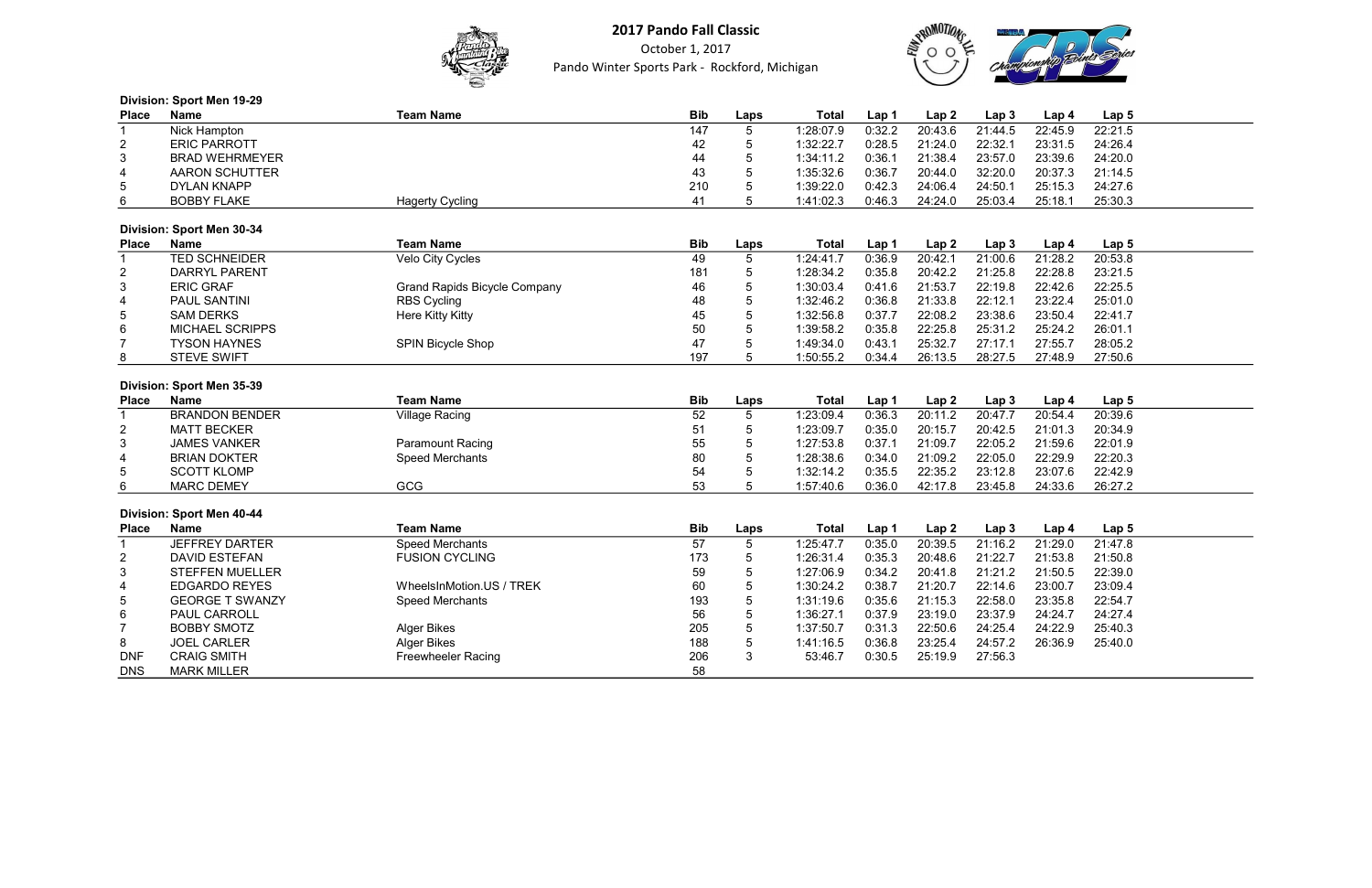

October 1, 2017 Pando Winter Sports Park - Rockford, Michigan



## Division: Sport Men 19-29 Place Name Team Name Bib Laps Total Lap 1 Lap 2 Lap 3 Lap 4 Lap 5 1 Nick Hampton 147 5 1:28:07.9 0:32.2 20:43.6 21:44.5 22:45.9 22:21.5 2 ERIC PARROTT 42 5 1:32:22.7 0:28.5 21:24.0 22:32.1 23:31.5 24:26.4 3 BRAD WEHRMEYER 44 5 1:34:11.2 0:36.1 21:38.4 23:57.0 23:39.6 24:20.0 4 AARON SCHUTTER 43 5 1:35:32.6 0:36.7 20:44.0 32:20.0 20:37.3 21:14.5 5 DYLAN KNAPP 210 5 1:39:22.0 0:42.3 24:06.4 24:50.1 25:15.3 24:27.6 6 BOBBY FLAKE Hagerty Cycling 41 5 1:41:02.3 0:46.3 24:24.0 25:03.4 25:18.1 25:30.3 Division: Sport Men 30-34 Place Name Team Name Bib Laps Total Lap 1 Lap 2 Lap 3 Lap 4 Lap 5 1 TED SCHNEIDER Velo City Cycles 49 5 1:24:41.7 0:36.9 20:42.1 21:00.6 21:28.2 20:53.8 2 DARRYL PARENT 181 5 1:28:34.2 0:35.8 20:42.2 21:25.8 22:28.8 23:21.5 3 ERIC GRAF Grand Rapids Bicycle Company 46 5 1:30:03.4 0:41.6 21:53.7 22:19. 4 PAUL SANTINI RBS Cycling 48 5 1:32:46.2 0:36.8 21:33.8 22:12.1 23:22.4 25:01.0 5 SAM DERKS Here Kitty Kitty 45 5 1:32:56.8 0:37.7 22:08.2 23:38.6 23:50.4 22:41.7 6 MICHAEL SCRIPPS 50 5 1:39:58.2 0:35.8 22:25.8 25:31.2 25:24.2 26:01.1 7 TYSON HAYNES SPIN Bicycle Shop 47 5 1:49:34.0 0:43.1 25:32.7 27:17.1 27:55.7 28:05.2 8 STEVE SWIFT 197 5 1:50:55.2 0:34.4 26:13.5 28:27.5 27:48.9 27:50.6 Division: Sport Men 35-39 Place Name Team Name Bib Laps Total Lap 1 Lap 2 Lap 3 Lap 4 Lap 5 1 BRANDON BENDER Village Racing 52 5 1:23:09.4 0:36.3 20:11.2 20:47.7 20:54.4 20:39.6 2 MATT BECKER 51 5 1:23:09.7 0:35.0 20:15.7 20:42.5 21:01.3 20:34.9 3 JAMES VANKER Paramount Racing 55 5 1:27:53.8 0:37.1 21:09.7 22:05.2 21:59.6 22:01.9 4 BRIAN DOKTER Speed Merchants 80 5 1:28:38.6 0:34.0 21:09.2 22:05.0 22:29.9 22:20.3 5 SCOTT KLOMP 54 5 1:32:14.2 0:35.5 22:35.2 23:12.8 23:07.6 22:42.9 6 MARC DEMEY GCG 53 5 1:57:40.6 0:36.0 42:17.8 23:45.8 24:33.6 26:27.2 Division: Sport Men 40-44 Place Name Team Name Bib Laps Total Lap 1 Lap 2 Lap 3 Lap 4 Lap 5 1 JEFFREY DARTER Speed Merchants 57 5 1:25:47.7 0:35.0 20:39.5 21:16.2 21:29.0 21:47.8 2 DAVID ESTEFAN FUSION CYCLING 173 5 1:26:31.4 0:35.3 20:48.6 21:22.7 21:53.8 21:50.8 3 STEFFEN MUELLER 59 5 1:27:06.9 0:34.2 20:41.8 21:21.2 21:50.5 22:39.0 4 EDGARDO REYES WheelsInMotion.US / TREK 60 5 1:30:24.2 0:38.7 21:20.7 22:14.6 23:00.7 23:09.4 5 GEORGE T SWANZY Speed Merchants 193 5 1:31:19.6 0:35.6 21:15.3 22:58.0 23:35.8 22:54.7 6 PAUL CARROLL 56 5 1:36:27.1 0:37.9 23:19.0 23:37.9 24:24.7 24:27.4 7 BOBBY SMOTZ Alger Bikes 205 5 1:37:50.7 0:31.3 22:50.6 24:25.4 24:22.9 25:40.3 8 JOEL CARLER Alger Bikes 188 5 1:41:16.5 0:36.8 23:25.4 24:57.2 26:36.9 25:40.0 DNF CRAIG SMITH Freewheeler Racing 206 3 53:46.7 0:30.5 25:19.9 27:56.3 DNS MARK MILLER 58



| 3 | Lap <sub>4</sub> | Lap <sub>5</sub> |  |
|---|------------------|------------------|--|
| 5 | 22:45.9          | 22:21.5          |  |
| 1 | 23:31.5          | 24:26.4          |  |
| 0 | 23:39.6          | 24:20.0          |  |
| 0 | 20:37.3          | 21:14.5          |  |
| 1 | 25:15.3          | 24:27.6          |  |
| 4 | 25:18.1          | 25:30.3          |  |
|   |                  |                  |  |

| 3              | Lap 4   | Lap 5   |  |
|----------------|---------|---------|--|
| $\overline{6}$ | 21:28.2 | 20:53.8 |  |
| 8              | 22:28.8 | 23:21.5 |  |
| 8              | 22:42.6 | 22:25.5 |  |
| .1             | 23:22.4 | 25:01.0 |  |
| 6              | 23:50.4 | 22:41.7 |  |
| $\overline{2}$ | 25:24.2 | 26:01.1 |  |
| .1             | 27:55.7 | 28:05.2 |  |
| 5              | 27:48.9 | 27:50.6 |  |
|                |         |         |  |

| 3              | Lap 4   | Lap 5   |
|----------------|---------|---------|
| $\overline{7}$ | 20:54.4 | 20:39.6 |
| 5              | 21:01.3 | 20:34.9 |
| 2              | 21:59.6 | 22:01.9 |
| 0              | 22:29.9 | 22:20.3 |
| 8              | 23:07.6 | 22:42.9 |
| 8              | 24:33.6 | 26:27.2 |
|                |         |         |
|                |         |         |
| 3              | Lap 4   | Lap 5   |
|                |         |         |
| $\overline{2}$ | 21:29.0 | 21:47.8 |
| 7              | 21:53.8 | 21:50.8 |
| $\overline{2}$ | 21:50.5 | 22:39.0 |
| 6              | 23:00.7 | 23:09.4 |
| 0              | 23:35.8 | 22:54.7 |
| 9              | 24:24.7 | 24:27.4 |
| 4              | 24:22.9 | 25:40.3 |
| 2              | 26:36.9 | 25:40.0 |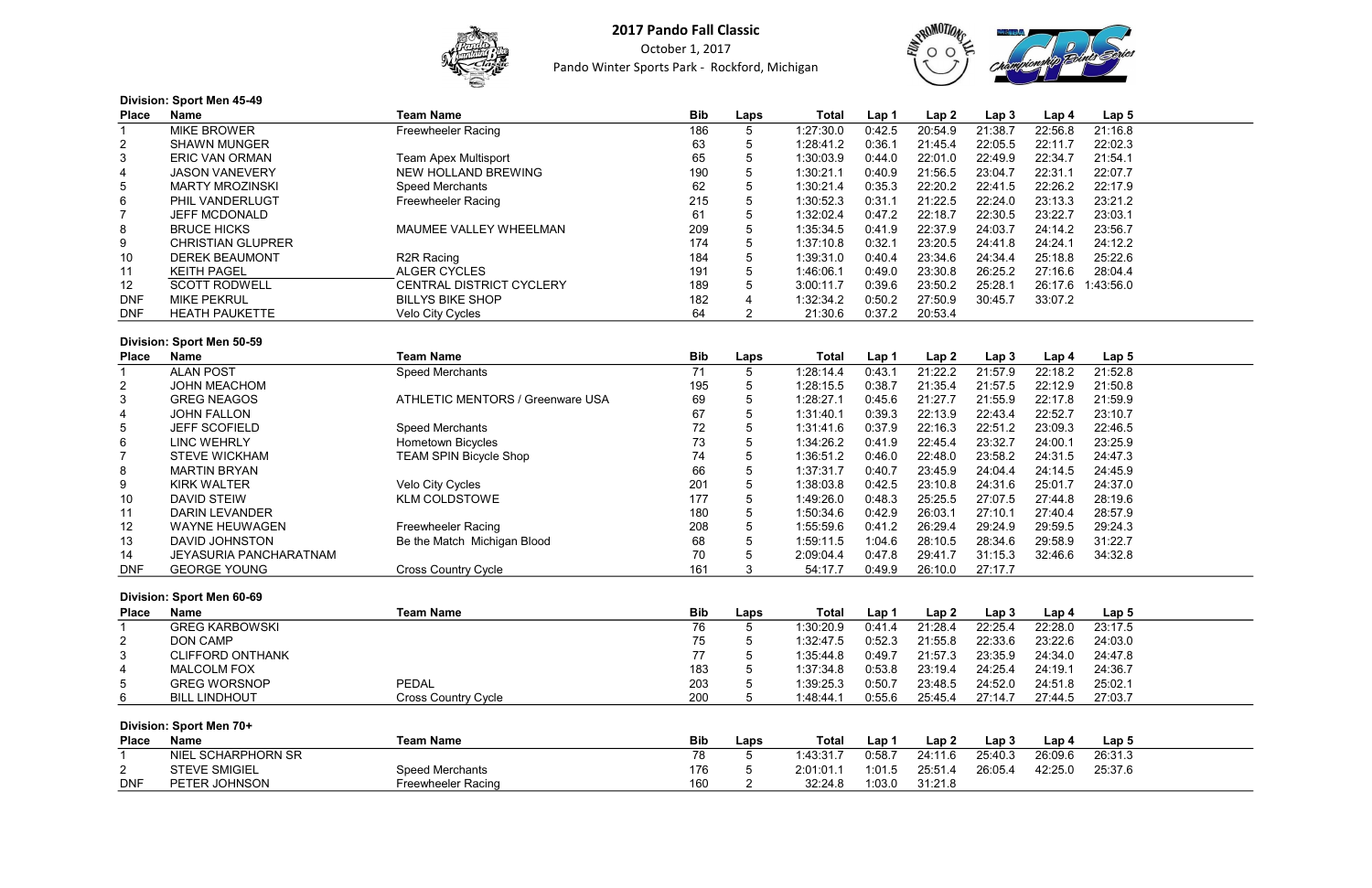

October 1, 2017 Pando Winter Sports Park - Rockford, Michigan



| <b>Division: Sport Men 45-49</b> |                          |                             |     |             |           |        |         |                  |         |           |  |
|----------------------------------|--------------------------|-----------------------------|-----|-------------|-----------|--------|---------|------------------|---------|-----------|--|
| Place                            | Name                     | <b>Team Name</b>            | Bib | Laps        | Total     | Lap 1  | Lap2    | Lap <sub>3</sub> | Lap 4   | Lap 5     |  |
|                                  | <b>MIKE BROWER</b>       | <b>Freewheeler Racing</b>   | 186 |             | 1:27:30.0 | 0:42.5 | 20:54.9 | 21:38.7          | 22:56.8 | 21:16.8   |  |
| $\overline{2}$                   | <b>SHAWN MUNGER</b>      |                             | 63  |             | 1:28:41.2 | 0:36.1 | 21:45.4 | 22:05.5          | 22:11.7 | 22:02.3   |  |
| 3                                | <b>ERIC VAN ORMAN</b>    | <b>Team Apex Multisport</b> | 65  | G           | 1:30:03.9 | 0:44.0 | 22:01.0 | 22:49.9          | 22:34.7 | 21:54.1   |  |
| 4                                | <b>JASON VANEVERY</b>    | NEW HOLLAND BREWING         | 190 | $5^{\circ}$ | 1:30:21.1 | 0:40.9 | 21:56.5 | 23:04.7          | 22:31.1 | 22:07.7   |  |
| $5\phantom{.0}$                  | <b>MARTY MROZINSKI</b>   | Speed Merchants             | 62  |             | 1:30:21.4 | 0:35.3 | 22:20.2 | 22:41.5          | 22:26.2 | 22:17.9   |  |
| 6                                | <b>PHIL VANDERLUGT</b>   | <b>Freewheeler Racing</b>   | 215 |             | 1:30:52.3 | 0:31.1 | 21:22.5 | 22:24.0          | 23:13.3 | 23:21.2   |  |
|                                  | <b>JEFF MCDONALD</b>     |                             | 61  | Ð           | 1:32:02.4 | 0:47.2 | 22:18.7 | 22:30.5          | 23:22.7 | 23:03.1   |  |
| 8                                | <b>BRUCE HICKS</b>       | MAUMEE VALLEY WHEELMAN      | 209 |             | 1:35:34.5 | 0:41.9 | 22:37.9 | 24:03.7          | 24:14.2 | 23:56.7   |  |
| 9                                | <b>CHRISTIAN GLUPRER</b> |                             | 174 |             | 1:37:10.8 | 0:32.1 | 23:20.5 | 24:41.8          | 24:24.1 | 24:12.2   |  |
| 10 <sup>°</sup>                  | <b>DEREK BEAUMONT</b>    | R <sub>2R</sub> Racing      | 184 | 5           | 1:39:31.0 | 0:40.4 | 23:34.6 | 24:34.4          | 25:18.8 | 25:22.6   |  |
| 11                               | <b>KEITH PAGEL</b>       | ALGER CYCLES                | 191 | 5           | 1:46:06.1 | 0:49.0 | 23:30.8 | 26:25.2          | 27:16.6 | 28:04.4   |  |
| 12                               | <b>SCOTT RODWELL</b>     | CENTRAL DISTRICT CYCLERY    | 189 |             | 3:00:11.7 | 0:39.6 | 23:50.2 | 25:28.1          | 26:17.6 | 1:43:56.0 |  |
| <b>DNF</b>                       | <b>MIKE PEKRUL</b>       | <b>BILLYS BIKE SHOP</b>     | 182 |             | 1:32:34.2 | 0:50.2 | 27:50.9 | 30:45.7          | 33:07.2 |           |  |
| <b>DNF</b>                       | <b>HEATH PAUKETTE</b>    | Velo City Cycles            | 64  |             | 21:30.6   | 0:37.2 | 20:53.4 |                  |         |           |  |

#### Division: Sport Men 50-59

|                 | טטיטט ווסואו וועןט וועופווע   |                                         |                 |                |              |        |                  |                  |                  |                  |  |
|-----------------|-------------------------------|-----------------------------------------|-----------------|----------------|--------------|--------|------------------|------------------|------------------|------------------|--|
| <b>Place</b>    | Name                          | <b>Team Name</b>                        | <b>Bib</b>      | Laps           | <b>Total</b> | Lap 1  | Lap 2            | Lap <sub>3</sub> | Lap <sub>4</sub> | Lap <sub>5</sub> |  |
|                 | <b>ALAN POST</b>              | Speed Merchants                         | $\overline{71}$ | 5              | 1:28:14.4    | 0:43.1 | 21:22.2          | 21:57.9          | 22:18.2          | 21:52.8          |  |
| $\overline{2}$  | <b>JOHN MEACHOM</b>           |                                         | 195             | 5              | 1:28:15.5    | 0:38.7 | 21:35.4          | 21:57.5          | 22:12.9          | 21:50.8          |  |
| 3               | <b>GREG NEAGOS</b>            | <b>ATHLETIC MENTORS / Greenware USA</b> | 69              | $\overline{5}$ | 1:28:27.1    | 0:45.6 | 21:27.7          | 21:55.9          | 22:17.8          | 21:59.9          |  |
| 4               | <b>JOHN FALLON</b>            |                                         | 67              | 5              | 1:31:40.1    | 0:39.3 | 22:13.9          | 22:43.4          | 22:52.7          | 23:10.7          |  |
| 5               | <b>JEFF SCOFIELD</b>          | Speed Merchants                         | 72              | 5              | 1:31:41.6    | 0:37.9 | 22:16.3          | 22:51.2          | 23:09.3          | 22:46.5          |  |
| 6               | <b>LINC WEHRLY</b>            | Hometown Bicycles                       | 73              | 5              | 1:34:26.2    | 0:41.9 | 22:45.4          | 23:32.7          | 24:00.1          | 23:25.9          |  |
| $\overline{7}$  | <b>STEVE WICKHAM</b>          | <b>TEAM SPIN Bicycle Shop</b>           | 74              | 5              | 1:36:51.2    | 0:46.0 | 22:48.0          | 23:58.2          | 24:31.5          | 24:47.3          |  |
| 8               | <b>MARTIN BRYAN</b>           |                                         | 66              | 5              | 1:37:31.7    | 0:40.7 | 23:45.9          | 24:04.4          | 24:14.5          | 24:45.9          |  |
| 9               | <b>KIRK WALTER</b>            | Velo City Cycles                        | 201             | 5              | 1:38:03.8    | 0:42.5 | 23:10.8          | 24:31.6          | 25:01.7          | 24:37.0          |  |
| 10 <sub>1</sub> | <b>DAVID STEIW</b>            | <b>KLM COLDSTOWE</b>                    | 177             | 5              | 1:49:26.0    | 0:48.3 | 25:25.5          | 27:07.5          | 27:44.8          | 28:19.6          |  |
| 11              | <b>DARIN LEVANDER</b>         |                                         | 180             | 5              | 1:50:34.6    | 0:42.9 | 26:03.1          | 27:10.1          | 27:40.4          | 28:57.9          |  |
| 12              | <b>WAYNE HEUWAGEN</b>         | Freewheeler Racing                      | 208             | 5              | 1:55:59.6    | 0:41.2 | 26:29.4          | 29:24.9          | 29:59.5          | 29:24.3          |  |
| 13              | <b>DAVID JOHNSTON</b>         | Be the Match Michigan Blood             | 68              | 5              | 1:59:11.5    | 1:04.6 | 28:10.5          | 28:34.6          | 29:58.9          | 31:22.7          |  |
| 14              | <b>JEYASURIA PANCHARATNAM</b> |                                         | 70              |                | 2:09:04.4    | 0:47.8 | 29:41.7          | 31:15.3          | 32:46.6          | 34:32.8          |  |
| <b>DNF</b>      | <b>GEORGE YOUNG</b>           | <b>Cross Country Cycle</b>              | 161             | 3              | 54:17.7      | 0:49.9 | 26:10.0          | 27:17.7          |                  |                  |  |
|                 |                               |                                         |                 |                |              |        |                  |                  |                  |                  |  |
|                 | Division: Sport Men 60-69     |                                         |                 |                |              |        |                  |                  |                  |                  |  |
| <b>Place</b>    | <b>Name</b>                   | <b>Team Name</b>                        | <b>Bib</b>      | Laps           | <b>Total</b> | Lap 1  | Lap <sub>2</sub> | Lap <sub>3</sub> | Lap <sub>4</sub> | Lap <sub>5</sub> |  |
|                 | <b>GREG KARBOWSKI</b>         |                                         | 76              | 5              | 1:30:20.9    | 0:41.4 | 21:28.4          | 22:25.4          | 22:28.0          | 23:17.5          |  |
| $\overline{c}$  | <b>DON CAMP</b>               |                                         | 75              | 5              | 1:32:47.5    | 0:52.3 | 21:55.8          | 22:33.6          | 23:22.6          | 24:03.0          |  |
| $\mathfrak{S}$  | <b>CLIFFORD ONTHANK</b>       |                                         | 77              | 5              | 1:35:44.8    | 0:49.7 | 21:57.3          | 23:35.9          | 24:34.0          | 24:47.8          |  |
| 4               | <b>MALCOLM FOX</b>            |                                         | 183             | 5              | 1:37:34.8    | 0:53.8 | 23:19.4          | 24:25.4          | 24:19.1          | 24:36.7          |  |
| 5               | <b>GREG WORSNOP</b>           | <b>PEDAL</b>                            | 203             | $\overline{5}$ | 1:39:25.3    | 0:50.7 | 23:48.5          | 24:52.0          | 24:51.8          | 25:02.1          |  |
| 6               | <b>BILL LINDHOUT</b>          | <b>Cross Country Cycle</b>              | 200             | 5              | 1:48:44.1    | 0:55.6 | 25:45.4          | 27:14.7          | 27:44.5          | 27:03.7          |  |
|                 | Division: Sport Men 70+       |                                         |                 |                |              |        |                  |                  |                  |                  |  |
| <b>Place</b>    | <b>Name</b>                   | <b>Team Name</b>                        | <b>Bib</b>      | Laps           | <b>Total</b> | Lap 1  | Lap <sub>2</sub> | Lap <sub>3</sub> | Lap 4            | Lap <sub>5</sub> |  |
|                 | <b>NIEL SCHARPHORN SR</b>     |                                         | 78              | 5              | 1:43:31.7    | 0:58.7 | 24:11.6          | 25:40.3          | 26:09.6          | 26:31.3          |  |
| $\overline{c}$  | <b>STEVE SMIGIEL</b>          | <b>Speed Merchants</b>                  | 176             | 5              | 2:01:01.1    | 1:01.5 | 25:51.4          | 26:05.4          | 42:25.0          | 25:37.6          |  |
|                 |                               |                                         |                 |                |              |        |                  |                  |                  |                  |  |

| <b>Place</b>    | Name                    | Team Name                  | <b>Bib</b> | Laps | Total     | Lap    | Lap 2   | Lap    |
|-----------------|-------------------------|----------------------------|------------|------|-----------|--------|---------|--------|
|                 | <b>GREG KARBOWSKI</b>   |                            | 76         |      | 1:30:20.9 | 0:41.4 | 21:28.4 | 22:25. |
| $\overline{2}$  | DON CAMP                |                            | 75         |      | 1:32:47.5 | 0:52.3 | 21:55.8 | 22:33. |
| 3               | <b>CLIFFORD ONTHANK</b> |                            |            |      | 1:35:44.8 | 0:49.7 | 21:57.3 | 23:35. |
| 4               | <b>MALCOLM FOX</b>      |                            | 183        |      | 1:37:34.8 | 0:53.8 | 23:19.4 | 24:25. |
| $5\overline{)}$ | GREG WORSNOP            | <b>PEDAL</b>               | 203        |      | 1:39:25.3 | 0:50.7 | 23:48.5 | 24:52. |
| 6               | <b>BILL LINDHOUT</b>    | <b>Cross Country Cycle</b> | 200        |      | 1:48:44.1 | 0:55.6 | 25:45.4 | 27:14. |

| <b>UIVISION: SPORT MEN /U+</b> |                      |                    |     |      |           |        |         |                  |         |                  |
|--------------------------------|----------------------|--------------------|-----|------|-----------|--------|---------|------------------|---------|------------------|
| Place                          | Name                 | <b>Team Name</b>   | Bib | Laps | Total     | Lap 1  | Lap 2   | Lap <sub>3</sub> | ∟ap 4   | Lap <sub>5</sub> |
|                                | NIEL SCHARPHORN SR   |                    |     |      | 1:43:31.7 | 0:58.7 | 24:11.6 | 25:40.3          | 26:09.6 | 26:31.3          |
|                                | <b>STEVE SMIGIEL</b> | Speed Merchants    | 176 |      | 2:01:01.1 | 1:01.5 | 25:51.4 | 26:05.4          | 42:25.0 | 25:37.6          |
| <b>DNF</b>                     | PETER JOHNSON        | Freewheeler Racing | 160 |      | 32:24.8   | :03.0  | 31:21.8 |                  |         |                  |

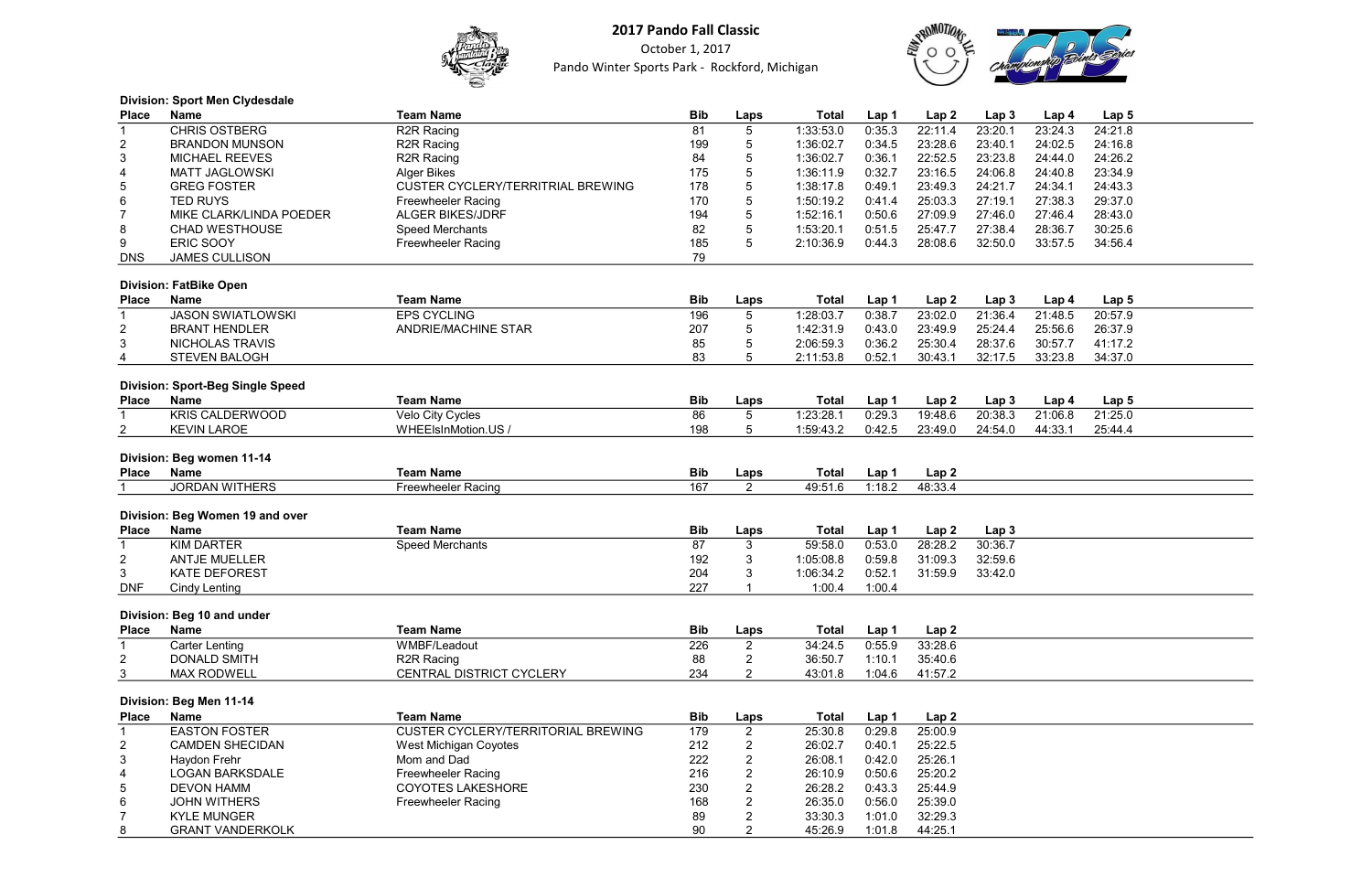

October 1, 2017 Pando Winter Sports Park - Rockford, Michigan



#### Division: Sport Men Clydesdale

| <b>CHRIS OSTBERG</b><br>81<br>R <sub>2R</sub> Racing<br>$\overline{5}$<br>1:33:53.0<br>22:11.4<br>23:20.1<br>23:24.3<br>24:21.8<br>$\mathbf{1}$<br>0:35.3<br>R <sub>2R</sub> Racing<br>$\sqrt{5}$<br>0:34.5<br>23:28.6<br>23:40.1<br>24:02.5<br>24:16.8<br>$\overline{c}$<br><b>BRANDON MUNSON</b><br>199<br>1:36:02.7<br>3<br>R2R Racing<br>84<br>5<br>22:52.5<br>23:23.8<br>24:26.2<br><b>MICHAEL REEVES</b><br>1:36:02.7<br>0:36.1<br>24:44.0<br>5<br><b>MATT JAGLOWSKI</b><br>175<br>23:16.5<br>23:34.9<br>4<br><b>Alger Bikes</b><br>1:36:11.9<br>0:32.7<br>24:06.8<br>24:40.8<br>$\overline{5}$<br>$\sqrt{5}$<br><b>GREG FOSTER</b><br><b>CUSTER CYCLERY/TERRITRIAL BREWING</b><br>178<br>1:38:17.8<br>0:49.1<br>23:49.3<br>24:21.7<br>24:34.1<br>24:43.3<br>5<br>6<br>25:03.3<br>29:37.0<br><b>TED RUYS</b><br>170<br>0:41.4<br>27:19.1<br>27:38.3<br><b>Freewheeler Racing</b><br>1:50:19.2<br>5<br>$\overline{7}$<br>MIKE CLARK/LINDA POEDER<br><b>ALGER BIKES/JDRF</b><br>194<br>1:52:16.1<br>0:50.6<br>27:09.9<br>27:46.0<br>27:46.4<br>28:43.0<br>$\overline{5}$<br>8<br>82<br>1:53:20.1<br>0:51.5<br>25:47.7<br>30:25.6<br><b>CHAD WESTHOUSE</b><br>Speed Merchants<br>27:38.4<br>28:36.7<br>5<br><b>ERIC SOOY</b><br>185<br>9<br>2:10:36.9<br>0:44.3<br>28:08.6<br>32:50.0<br>33:57.5<br><b>Freewheeler Racing</b><br>34:56.4<br><b>JAMES CULLISON</b><br>79<br><b>DNS</b><br><b>Division: FatBike Open</b><br><b>Team Name</b><br><b>Bib</b><br><b>Name</b><br><b>Total</b><br>Lap <sub>2</sub><br>Lap <sub>3</sub><br><b>Place</b><br>Laps<br>Lap 1<br>Lap 4<br>Lap <sub>5</sub><br><b>JASON SWIATLOWSKI</b><br>$5\phantom{.0}$<br><b>EPS CYCLING</b><br>196<br>23:02.0<br>21:36.4<br>21:48.5<br>20:57.9<br>1:28:03.7<br>0:38.7<br>1<br>5<br>$\overline{2}$<br><b>BRANT HENDLER</b><br><b>ANDRIE/MACHINE STAR</b><br>207<br>1:42:31.9<br>0:43.0<br>23:49.9<br>25:24.4<br>25:56.6<br>26:37.9<br>3<br>85<br>5<br>25:30.4<br><b>NICHOLAS TRAVIS</b><br>2:06:59.3<br>0:36.2<br>28:37.6<br>30:57.7<br>41:17.2<br>83<br>5<br>2:11:53.8<br>0:52.1<br>30:43.1<br>32:17.5<br>33:23.8<br>34:37.0<br>4<br><b>STEVEN BALOGH</b><br><b>Division: Sport-Beg Single Speed</b><br><b>Team Name</b><br><b>Bib</b><br><b>Name</b><br><b>Total</b><br>Lap <sub>2</sub><br>Lap <sub>3</sub><br>Lap <sub>5</sub><br><b>Place</b><br>Laps<br>Lap 1<br>Lap 4<br>$\overline{5}$<br>$\overline{21:25.0}$<br><b>KRIS CALDERWOOD</b><br>Velo City Cycles<br>86<br>1:23:28.1<br>0:29.3<br>19:48.6<br>20:38.3<br>21:06.8<br>1<br>198<br>5<br>$\overline{\mathbf{c}}$<br><b>KEVIN LAROE</b><br>WHEEIsInMotion.US /<br>1:59:43.2<br>0:42.5<br>23:49.0<br>24:54.0<br>44:33.1<br>25:44.4<br>Division: Beg women 11-14<br><b>Team Name</b><br><b>Name</b><br><b>Bib</b><br><b>Total</b><br>Lap <sub>2</sub><br><b>Place</b><br>Laps<br>Lap 1<br><b>JORDAN WITHERS</b><br>167<br>2<br>49:51.6<br>1:18.2<br>48:33.4<br><b>Freewheeler Racing</b><br>Division: Beg Women 19 and over<br><b>Name</b><br><b>Team Name</b><br><b>Bib</b><br><b>Total</b><br>Lap <sub>2</sub><br><b>Place</b><br>Laps<br>Lap 1<br>Lap <sub>3</sub><br><b>KIM DARTER</b><br>87<br>$\mathbf{3}$<br>28:28.2<br>30:36.7<br>$\mathbf{1}$<br>Speed Merchants<br>59:58.0<br>0:53.0<br>3<br>31:09.3<br>$\overline{2}$<br><b>ANTJE MUELLER</b><br>192<br>0:59.8<br>32:59.6<br>1:05:08.8<br>3<br>3<br><b>KATE DEFOREST</b><br>204<br>1:06:34.2<br>0:52.1<br>31:59.9<br>33:42.0<br>227<br><b>DNF</b><br>1:00.4<br>1:00.4<br><b>Cindy Lenting</b><br>Division: Beg 10 and under<br><b>Team Name</b><br><b>Bib</b><br><b>Name</b><br>Laps<br><b>Total</b><br>Lap <sub>2</sub><br><b>Place</b><br>Lap 1<br>226<br>$\overline{2}$<br>0:55.9<br>33:28.6<br>WMBF/Leadout<br>34:24.5<br>$\mathbf 1$<br><b>Carter Lenting</b><br><b>DONALD SMITH</b><br>$\overline{2}$<br>R <sub>2R</sub> Racing<br>88<br>2<br>36:50.7<br>1:10.1<br>35:40.6<br>CENTRAL DISTRICT CYCLERY<br>3<br>$\overline{2}$<br>43:01.8<br>1:04.6<br><b>MAX RODWELL</b><br>234<br>41:57.2<br>Division: Beg Men 11-14<br><b>Team Name</b><br><b>Bib</b><br><b>Name</b><br><b>Total</b><br>Lap2<br><b>Place</b><br>Laps<br>Lap 1<br>$\overline{2}$<br>25:00.9<br><b>EASTON FOSTER</b><br><b>CUSTER CYCLERY/TERRITORIAL BREWING</b><br>179<br>0:29.8<br>25:30.8<br>1<br>$\overline{2}$<br>212<br>25:22.5<br>$\overline{2}$<br><b>CAMDEN SHECIDAN</b><br>26:02.7<br>0:40.1<br>West Michigan Coyotes<br>$\overline{2}$<br>222<br>3<br>Haydon Frehr<br>Mom and Dad<br>26:08.1<br>0.42.0<br>25:26.1<br>$\overline{2}$<br>216<br><b>LOGAN BARKSDALE</b><br><b>Freewheeler Racing</b><br>26:10.9<br>0:50.6<br>25:20.2<br>4<br>$\overline{2}$<br>5<br><b>COYOTES LAKESHORE</b><br>230<br>0:43.3<br>25:44.9<br><b>DEVON HAMM</b><br>26:28.2<br>$\overline{2}$<br>6<br><b>Freewheeler Racing</b><br>168<br>26:35.0<br>0.56.0<br>25:39.0<br><b>JOHN WITHERS</b><br>$\overline{2}$<br>7<br><b>KYLE MUNGER</b><br>89<br>33:30.3<br>1:01.0<br>32:29.3<br>$\overline{2}$<br>90<br>1:01.8<br>44:25.1<br>8<br><b>GRANT VANDERKOLK</b><br>45:26.9 | <b>Place</b> | <b>Name</b> | <b>Team Name</b> | <b>Bib</b> | Laps | <b>Total</b> | Lap 1 | Lap <sub>2</sub> | Lap <sub>3</sub> | Lap 4 | Lap <sub>5</sub> |  |
|-------------------------------------------------------------------------------------------------------------------------------------------------------------------------------------------------------------------------------------------------------------------------------------------------------------------------------------------------------------------------------------------------------------------------------------------------------------------------------------------------------------------------------------------------------------------------------------------------------------------------------------------------------------------------------------------------------------------------------------------------------------------------------------------------------------------------------------------------------------------------------------------------------------------------------------------------------------------------------------------------------------------------------------------------------------------------------------------------------------------------------------------------------------------------------------------------------------------------------------------------------------------------------------------------------------------------------------------------------------------------------------------------------------------------------------------------------------------------------------------------------------------------------------------------------------------------------------------------------------------------------------------------------------------------------------------------------------------------------------------------------------------------------------------------------------------------------------------------------------------------------------------------------------------------------------------------------------------------------------------------------------------------------------------------------------------------------------------------------------------------------------------------------------------------------------------------------------------------------------------------------------------------------------------------------------------------------------------------------------------------------------------------------------------------------------------------------------------------------------------------------------------------------------------------------------------------------------------------------------------------------------------------------------------------------------------------------------------------------------------------------------------------------------------------------------------------------------------------------------------------------------------------------------------------------------------------------------------------------------------------------------------------------------------------------------------------------------------------------------------------------------------------------------------------------------------------------------------------------------------------------------------------------------------------------------------------------------------------------------------------------------------------------------------------------------------------------------------------------------------------------------------------------------------------------------------------------------------------------------------------------------------------------------------------------------------------------------------------------------------------------------------------------------------------------------------------------------------------------------------------------------------------------------------------------------------------------------------------------------------------------------------------------------------------------------------------------------------------------------------------------------------------------------------------------------------------------------------------------------------------------------------------------------------------------------------------------------------------------------------------------------------------------------------------------------------------------------------------------------------------------------------------------------------------------------------------------------------------------------------------------------------------------------------------------------------------------------------------------------------------------------------------------------------------------------------------------------------------------------------------------------------------------------------------------------------------------------------------------------------------------------------------------------|--------------|-------------|------------------|------------|------|--------------|-------|------------------|------------------|-------|------------------|--|
|                                                                                                                                                                                                                                                                                                                                                                                                                                                                                                                                                                                                                                                                                                                                                                                                                                                                                                                                                                                                                                                                                                                                                                                                                                                                                                                                                                                                                                                                                                                                                                                                                                                                                                                                                                                                                                                                                                                                                                                                                                                                                                                                                                                                                                                                                                                                                                                                                                                                                                                                                                                                                                                                                                                                                                                                                                                                                                                                                                                                                                                                                                                                                                                                                                                                                                                                                                                                                                                                                                                                                                                                                                                                                                                                                                                                                                                                                                                                                                                                                                                                                                                                                                                                                                                                                                                                                                                                                                                                                                                                                                                                                                                                                                                                                                                                                                                                                                                                                                                                                                     |              |             |                  |            |      |              |       |                  |                  |       |                  |  |
|                                                                                                                                                                                                                                                                                                                                                                                                                                                                                                                                                                                                                                                                                                                                                                                                                                                                                                                                                                                                                                                                                                                                                                                                                                                                                                                                                                                                                                                                                                                                                                                                                                                                                                                                                                                                                                                                                                                                                                                                                                                                                                                                                                                                                                                                                                                                                                                                                                                                                                                                                                                                                                                                                                                                                                                                                                                                                                                                                                                                                                                                                                                                                                                                                                                                                                                                                                                                                                                                                                                                                                                                                                                                                                                                                                                                                                                                                                                                                                                                                                                                                                                                                                                                                                                                                                                                                                                                                                                                                                                                                                                                                                                                                                                                                                                                                                                                                                                                                                                                                                     |              |             |                  |            |      |              |       |                  |                  |       |                  |  |
|                                                                                                                                                                                                                                                                                                                                                                                                                                                                                                                                                                                                                                                                                                                                                                                                                                                                                                                                                                                                                                                                                                                                                                                                                                                                                                                                                                                                                                                                                                                                                                                                                                                                                                                                                                                                                                                                                                                                                                                                                                                                                                                                                                                                                                                                                                                                                                                                                                                                                                                                                                                                                                                                                                                                                                                                                                                                                                                                                                                                                                                                                                                                                                                                                                                                                                                                                                                                                                                                                                                                                                                                                                                                                                                                                                                                                                                                                                                                                                                                                                                                                                                                                                                                                                                                                                                                                                                                                                                                                                                                                                                                                                                                                                                                                                                                                                                                                                                                                                                                                                     |              |             |                  |            |      |              |       |                  |                  |       |                  |  |
|                                                                                                                                                                                                                                                                                                                                                                                                                                                                                                                                                                                                                                                                                                                                                                                                                                                                                                                                                                                                                                                                                                                                                                                                                                                                                                                                                                                                                                                                                                                                                                                                                                                                                                                                                                                                                                                                                                                                                                                                                                                                                                                                                                                                                                                                                                                                                                                                                                                                                                                                                                                                                                                                                                                                                                                                                                                                                                                                                                                                                                                                                                                                                                                                                                                                                                                                                                                                                                                                                                                                                                                                                                                                                                                                                                                                                                                                                                                                                                                                                                                                                                                                                                                                                                                                                                                                                                                                                                                                                                                                                                                                                                                                                                                                                                                                                                                                                                                                                                                                                                     |              |             |                  |            |      |              |       |                  |                  |       |                  |  |
|                                                                                                                                                                                                                                                                                                                                                                                                                                                                                                                                                                                                                                                                                                                                                                                                                                                                                                                                                                                                                                                                                                                                                                                                                                                                                                                                                                                                                                                                                                                                                                                                                                                                                                                                                                                                                                                                                                                                                                                                                                                                                                                                                                                                                                                                                                                                                                                                                                                                                                                                                                                                                                                                                                                                                                                                                                                                                                                                                                                                                                                                                                                                                                                                                                                                                                                                                                                                                                                                                                                                                                                                                                                                                                                                                                                                                                                                                                                                                                                                                                                                                                                                                                                                                                                                                                                                                                                                                                                                                                                                                                                                                                                                                                                                                                                                                                                                                                                                                                                                                                     |              |             |                  |            |      |              |       |                  |                  |       |                  |  |
|                                                                                                                                                                                                                                                                                                                                                                                                                                                                                                                                                                                                                                                                                                                                                                                                                                                                                                                                                                                                                                                                                                                                                                                                                                                                                                                                                                                                                                                                                                                                                                                                                                                                                                                                                                                                                                                                                                                                                                                                                                                                                                                                                                                                                                                                                                                                                                                                                                                                                                                                                                                                                                                                                                                                                                                                                                                                                                                                                                                                                                                                                                                                                                                                                                                                                                                                                                                                                                                                                                                                                                                                                                                                                                                                                                                                                                                                                                                                                                                                                                                                                                                                                                                                                                                                                                                                                                                                                                                                                                                                                                                                                                                                                                                                                                                                                                                                                                                                                                                                                                     |              |             |                  |            |      |              |       |                  |                  |       |                  |  |
|                                                                                                                                                                                                                                                                                                                                                                                                                                                                                                                                                                                                                                                                                                                                                                                                                                                                                                                                                                                                                                                                                                                                                                                                                                                                                                                                                                                                                                                                                                                                                                                                                                                                                                                                                                                                                                                                                                                                                                                                                                                                                                                                                                                                                                                                                                                                                                                                                                                                                                                                                                                                                                                                                                                                                                                                                                                                                                                                                                                                                                                                                                                                                                                                                                                                                                                                                                                                                                                                                                                                                                                                                                                                                                                                                                                                                                                                                                                                                                                                                                                                                                                                                                                                                                                                                                                                                                                                                                                                                                                                                                                                                                                                                                                                                                                                                                                                                                                                                                                                                                     |              |             |                  |            |      |              |       |                  |                  |       |                  |  |
|                                                                                                                                                                                                                                                                                                                                                                                                                                                                                                                                                                                                                                                                                                                                                                                                                                                                                                                                                                                                                                                                                                                                                                                                                                                                                                                                                                                                                                                                                                                                                                                                                                                                                                                                                                                                                                                                                                                                                                                                                                                                                                                                                                                                                                                                                                                                                                                                                                                                                                                                                                                                                                                                                                                                                                                                                                                                                                                                                                                                                                                                                                                                                                                                                                                                                                                                                                                                                                                                                                                                                                                                                                                                                                                                                                                                                                                                                                                                                                                                                                                                                                                                                                                                                                                                                                                                                                                                                                                                                                                                                                                                                                                                                                                                                                                                                                                                                                                                                                                                                                     |              |             |                  |            |      |              |       |                  |                  |       |                  |  |
|                                                                                                                                                                                                                                                                                                                                                                                                                                                                                                                                                                                                                                                                                                                                                                                                                                                                                                                                                                                                                                                                                                                                                                                                                                                                                                                                                                                                                                                                                                                                                                                                                                                                                                                                                                                                                                                                                                                                                                                                                                                                                                                                                                                                                                                                                                                                                                                                                                                                                                                                                                                                                                                                                                                                                                                                                                                                                                                                                                                                                                                                                                                                                                                                                                                                                                                                                                                                                                                                                                                                                                                                                                                                                                                                                                                                                                                                                                                                                                                                                                                                                                                                                                                                                                                                                                                                                                                                                                                                                                                                                                                                                                                                                                                                                                                                                                                                                                                                                                                                                                     |              |             |                  |            |      |              |       |                  |                  |       |                  |  |
|                                                                                                                                                                                                                                                                                                                                                                                                                                                                                                                                                                                                                                                                                                                                                                                                                                                                                                                                                                                                                                                                                                                                                                                                                                                                                                                                                                                                                                                                                                                                                                                                                                                                                                                                                                                                                                                                                                                                                                                                                                                                                                                                                                                                                                                                                                                                                                                                                                                                                                                                                                                                                                                                                                                                                                                                                                                                                                                                                                                                                                                                                                                                                                                                                                                                                                                                                                                                                                                                                                                                                                                                                                                                                                                                                                                                                                                                                                                                                                                                                                                                                                                                                                                                                                                                                                                                                                                                                                                                                                                                                                                                                                                                                                                                                                                                                                                                                                                                                                                                                                     |              |             |                  |            |      |              |       |                  |                  |       |                  |  |
|                                                                                                                                                                                                                                                                                                                                                                                                                                                                                                                                                                                                                                                                                                                                                                                                                                                                                                                                                                                                                                                                                                                                                                                                                                                                                                                                                                                                                                                                                                                                                                                                                                                                                                                                                                                                                                                                                                                                                                                                                                                                                                                                                                                                                                                                                                                                                                                                                                                                                                                                                                                                                                                                                                                                                                                                                                                                                                                                                                                                                                                                                                                                                                                                                                                                                                                                                                                                                                                                                                                                                                                                                                                                                                                                                                                                                                                                                                                                                                                                                                                                                                                                                                                                                                                                                                                                                                                                                                                                                                                                                                                                                                                                                                                                                                                                                                                                                                                                                                                                                                     |              |             |                  |            |      |              |       |                  |                  |       |                  |  |
|                                                                                                                                                                                                                                                                                                                                                                                                                                                                                                                                                                                                                                                                                                                                                                                                                                                                                                                                                                                                                                                                                                                                                                                                                                                                                                                                                                                                                                                                                                                                                                                                                                                                                                                                                                                                                                                                                                                                                                                                                                                                                                                                                                                                                                                                                                                                                                                                                                                                                                                                                                                                                                                                                                                                                                                                                                                                                                                                                                                                                                                                                                                                                                                                                                                                                                                                                                                                                                                                                                                                                                                                                                                                                                                                                                                                                                                                                                                                                                                                                                                                                                                                                                                                                                                                                                                                                                                                                                                                                                                                                                                                                                                                                                                                                                                                                                                                                                                                                                                                                                     |              |             |                  |            |      |              |       |                  |                  |       |                  |  |
|                                                                                                                                                                                                                                                                                                                                                                                                                                                                                                                                                                                                                                                                                                                                                                                                                                                                                                                                                                                                                                                                                                                                                                                                                                                                                                                                                                                                                                                                                                                                                                                                                                                                                                                                                                                                                                                                                                                                                                                                                                                                                                                                                                                                                                                                                                                                                                                                                                                                                                                                                                                                                                                                                                                                                                                                                                                                                                                                                                                                                                                                                                                                                                                                                                                                                                                                                                                                                                                                                                                                                                                                                                                                                                                                                                                                                                                                                                                                                                                                                                                                                                                                                                                                                                                                                                                                                                                                                                                                                                                                                                                                                                                                                                                                                                                                                                                                                                                                                                                                                                     |              |             |                  |            |      |              |       |                  |                  |       |                  |  |
|                                                                                                                                                                                                                                                                                                                                                                                                                                                                                                                                                                                                                                                                                                                                                                                                                                                                                                                                                                                                                                                                                                                                                                                                                                                                                                                                                                                                                                                                                                                                                                                                                                                                                                                                                                                                                                                                                                                                                                                                                                                                                                                                                                                                                                                                                                                                                                                                                                                                                                                                                                                                                                                                                                                                                                                                                                                                                                                                                                                                                                                                                                                                                                                                                                                                                                                                                                                                                                                                                                                                                                                                                                                                                                                                                                                                                                                                                                                                                                                                                                                                                                                                                                                                                                                                                                                                                                                                                                                                                                                                                                                                                                                                                                                                                                                                                                                                                                                                                                                                                                     |              |             |                  |            |      |              |       |                  |                  |       |                  |  |
|                                                                                                                                                                                                                                                                                                                                                                                                                                                                                                                                                                                                                                                                                                                                                                                                                                                                                                                                                                                                                                                                                                                                                                                                                                                                                                                                                                                                                                                                                                                                                                                                                                                                                                                                                                                                                                                                                                                                                                                                                                                                                                                                                                                                                                                                                                                                                                                                                                                                                                                                                                                                                                                                                                                                                                                                                                                                                                                                                                                                                                                                                                                                                                                                                                                                                                                                                                                                                                                                                                                                                                                                                                                                                                                                                                                                                                                                                                                                                                                                                                                                                                                                                                                                                                                                                                                                                                                                                                                                                                                                                                                                                                                                                                                                                                                                                                                                                                                                                                                                                                     |              |             |                  |            |      |              |       |                  |                  |       |                  |  |
|                                                                                                                                                                                                                                                                                                                                                                                                                                                                                                                                                                                                                                                                                                                                                                                                                                                                                                                                                                                                                                                                                                                                                                                                                                                                                                                                                                                                                                                                                                                                                                                                                                                                                                                                                                                                                                                                                                                                                                                                                                                                                                                                                                                                                                                                                                                                                                                                                                                                                                                                                                                                                                                                                                                                                                                                                                                                                                                                                                                                                                                                                                                                                                                                                                                                                                                                                                                                                                                                                                                                                                                                                                                                                                                                                                                                                                                                                                                                                                                                                                                                                                                                                                                                                                                                                                                                                                                                                                                                                                                                                                                                                                                                                                                                                                                                                                                                                                                                                                                                                                     |              |             |                  |            |      |              |       |                  |                  |       |                  |  |
|                                                                                                                                                                                                                                                                                                                                                                                                                                                                                                                                                                                                                                                                                                                                                                                                                                                                                                                                                                                                                                                                                                                                                                                                                                                                                                                                                                                                                                                                                                                                                                                                                                                                                                                                                                                                                                                                                                                                                                                                                                                                                                                                                                                                                                                                                                                                                                                                                                                                                                                                                                                                                                                                                                                                                                                                                                                                                                                                                                                                                                                                                                                                                                                                                                                                                                                                                                                                                                                                                                                                                                                                                                                                                                                                                                                                                                                                                                                                                                                                                                                                                                                                                                                                                                                                                                                                                                                                                                                                                                                                                                                                                                                                                                                                                                                                                                                                                                                                                                                                                                     |              |             |                  |            |      |              |       |                  |                  |       |                  |  |
|                                                                                                                                                                                                                                                                                                                                                                                                                                                                                                                                                                                                                                                                                                                                                                                                                                                                                                                                                                                                                                                                                                                                                                                                                                                                                                                                                                                                                                                                                                                                                                                                                                                                                                                                                                                                                                                                                                                                                                                                                                                                                                                                                                                                                                                                                                                                                                                                                                                                                                                                                                                                                                                                                                                                                                                                                                                                                                                                                                                                                                                                                                                                                                                                                                                                                                                                                                                                                                                                                                                                                                                                                                                                                                                                                                                                                                                                                                                                                                                                                                                                                                                                                                                                                                                                                                                                                                                                                                                                                                                                                                                                                                                                                                                                                                                                                                                                                                                                                                                                                                     |              |             |                  |            |      |              |       |                  |                  |       |                  |  |
|                                                                                                                                                                                                                                                                                                                                                                                                                                                                                                                                                                                                                                                                                                                                                                                                                                                                                                                                                                                                                                                                                                                                                                                                                                                                                                                                                                                                                                                                                                                                                                                                                                                                                                                                                                                                                                                                                                                                                                                                                                                                                                                                                                                                                                                                                                                                                                                                                                                                                                                                                                                                                                                                                                                                                                                                                                                                                                                                                                                                                                                                                                                                                                                                                                                                                                                                                                                                                                                                                                                                                                                                                                                                                                                                                                                                                                                                                                                                                                                                                                                                                                                                                                                                                                                                                                                                                                                                                                                                                                                                                                                                                                                                                                                                                                                                                                                                                                                                                                                                                                     |              |             |                  |            |      |              |       |                  |                  |       |                  |  |
|                                                                                                                                                                                                                                                                                                                                                                                                                                                                                                                                                                                                                                                                                                                                                                                                                                                                                                                                                                                                                                                                                                                                                                                                                                                                                                                                                                                                                                                                                                                                                                                                                                                                                                                                                                                                                                                                                                                                                                                                                                                                                                                                                                                                                                                                                                                                                                                                                                                                                                                                                                                                                                                                                                                                                                                                                                                                                                                                                                                                                                                                                                                                                                                                                                                                                                                                                                                                                                                                                                                                                                                                                                                                                                                                                                                                                                                                                                                                                                                                                                                                                                                                                                                                                                                                                                                                                                                                                                                                                                                                                                                                                                                                                                                                                                                                                                                                                                                                                                                                                                     |              |             |                  |            |      |              |       |                  |                  |       |                  |  |
|                                                                                                                                                                                                                                                                                                                                                                                                                                                                                                                                                                                                                                                                                                                                                                                                                                                                                                                                                                                                                                                                                                                                                                                                                                                                                                                                                                                                                                                                                                                                                                                                                                                                                                                                                                                                                                                                                                                                                                                                                                                                                                                                                                                                                                                                                                                                                                                                                                                                                                                                                                                                                                                                                                                                                                                                                                                                                                                                                                                                                                                                                                                                                                                                                                                                                                                                                                                                                                                                                                                                                                                                                                                                                                                                                                                                                                                                                                                                                                                                                                                                                                                                                                                                                                                                                                                                                                                                                                                                                                                                                                                                                                                                                                                                                                                                                                                                                                                                                                                                                                     |              |             |                  |            |      |              |       |                  |                  |       |                  |  |
|                                                                                                                                                                                                                                                                                                                                                                                                                                                                                                                                                                                                                                                                                                                                                                                                                                                                                                                                                                                                                                                                                                                                                                                                                                                                                                                                                                                                                                                                                                                                                                                                                                                                                                                                                                                                                                                                                                                                                                                                                                                                                                                                                                                                                                                                                                                                                                                                                                                                                                                                                                                                                                                                                                                                                                                                                                                                                                                                                                                                                                                                                                                                                                                                                                                                                                                                                                                                                                                                                                                                                                                                                                                                                                                                                                                                                                                                                                                                                                                                                                                                                                                                                                                                                                                                                                                                                                                                                                                                                                                                                                                                                                                                                                                                                                                                                                                                                                                                                                                                                                     |              |             |                  |            |      |              |       |                  |                  |       |                  |  |
|                                                                                                                                                                                                                                                                                                                                                                                                                                                                                                                                                                                                                                                                                                                                                                                                                                                                                                                                                                                                                                                                                                                                                                                                                                                                                                                                                                                                                                                                                                                                                                                                                                                                                                                                                                                                                                                                                                                                                                                                                                                                                                                                                                                                                                                                                                                                                                                                                                                                                                                                                                                                                                                                                                                                                                                                                                                                                                                                                                                                                                                                                                                                                                                                                                                                                                                                                                                                                                                                                                                                                                                                                                                                                                                                                                                                                                                                                                                                                                                                                                                                                                                                                                                                                                                                                                                                                                                                                                                                                                                                                                                                                                                                                                                                                                                                                                                                                                                                                                                                                                     |              |             |                  |            |      |              |       |                  |                  |       |                  |  |
|                                                                                                                                                                                                                                                                                                                                                                                                                                                                                                                                                                                                                                                                                                                                                                                                                                                                                                                                                                                                                                                                                                                                                                                                                                                                                                                                                                                                                                                                                                                                                                                                                                                                                                                                                                                                                                                                                                                                                                                                                                                                                                                                                                                                                                                                                                                                                                                                                                                                                                                                                                                                                                                                                                                                                                                                                                                                                                                                                                                                                                                                                                                                                                                                                                                                                                                                                                                                                                                                                                                                                                                                                                                                                                                                                                                                                                                                                                                                                                                                                                                                                                                                                                                                                                                                                                                                                                                                                                                                                                                                                                                                                                                                                                                                                                                                                                                                                                                                                                                                                                     |              |             |                  |            |      |              |       |                  |                  |       |                  |  |
|                                                                                                                                                                                                                                                                                                                                                                                                                                                                                                                                                                                                                                                                                                                                                                                                                                                                                                                                                                                                                                                                                                                                                                                                                                                                                                                                                                                                                                                                                                                                                                                                                                                                                                                                                                                                                                                                                                                                                                                                                                                                                                                                                                                                                                                                                                                                                                                                                                                                                                                                                                                                                                                                                                                                                                                                                                                                                                                                                                                                                                                                                                                                                                                                                                                                                                                                                                                                                                                                                                                                                                                                                                                                                                                                                                                                                                                                                                                                                                                                                                                                                                                                                                                                                                                                                                                                                                                                                                                                                                                                                                                                                                                                                                                                                                                                                                                                                                                                                                                                                                     |              |             |                  |            |      |              |       |                  |                  |       |                  |  |
|                                                                                                                                                                                                                                                                                                                                                                                                                                                                                                                                                                                                                                                                                                                                                                                                                                                                                                                                                                                                                                                                                                                                                                                                                                                                                                                                                                                                                                                                                                                                                                                                                                                                                                                                                                                                                                                                                                                                                                                                                                                                                                                                                                                                                                                                                                                                                                                                                                                                                                                                                                                                                                                                                                                                                                                                                                                                                                                                                                                                                                                                                                                                                                                                                                                                                                                                                                                                                                                                                                                                                                                                                                                                                                                                                                                                                                                                                                                                                                                                                                                                                                                                                                                                                                                                                                                                                                                                                                                                                                                                                                                                                                                                                                                                                                                                                                                                                                                                                                                                                                     |              |             |                  |            |      |              |       |                  |                  |       |                  |  |
|                                                                                                                                                                                                                                                                                                                                                                                                                                                                                                                                                                                                                                                                                                                                                                                                                                                                                                                                                                                                                                                                                                                                                                                                                                                                                                                                                                                                                                                                                                                                                                                                                                                                                                                                                                                                                                                                                                                                                                                                                                                                                                                                                                                                                                                                                                                                                                                                                                                                                                                                                                                                                                                                                                                                                                                                                                                                                                                                                                                                                                                                                                                                                                                                                                                                                                                                                                                                                                                                                                                                                                                                                                                                                                                                                                                                                                                                                                                                                                                                                                                                                                                                                                                                                                                                                                                                                                                                                                                                                                                                                                                                                                                                                                                                                                                                                                                                                                                                                                                                                                     |              |             |                  |            |      |              |       |                  |                  |       |                  |  |
|                                                                                                                                                                                                                                                                                                                                                                                                                                                                                                                                                                                                                                                                                                                                                                                                                                                                                                                                                                                                                                                                                                                                                                                                                                                                                                                                                                                                                                                                                                                                                                                                                                                                                                                                                                                                                                                                                                                                                                                                                                                                                                                                                                                                                                                                                                                                                                                                                                                                                                                                                                                                                                                                                                                                                                                                                                                                                                                                                                                                                                                                                                                                                                                                                                                                                                                                                                                                                                                                                                                                                                                                                                                                                                                                                                                                                                                                                                                                                                                                                                                                                                                                                                                                                                                                                                                                                                                                                                                                                                                                                                                                                                                                                                                                                                                                                                                                                                                                                                                                                                     |              |             |                  |            |      |              |       |                  |                  |       |                  |  |
|                                                                                                                                                                                                                                                                                                                                                                                                                                                                                                                                                                                                                                                                                                                                                                                                                                                                                                                                                                                                                                                                                                                                                                                                                                                                                                                                                                                                                                                                                                                                                                                                                                                                                                                                                                                                                                                                                                                                                                                                                                                                                                                                                                                                                                                                                                                                                                                                                                                                                                                                                                                                                                                                                                                                                                                                                                                                                                                                                                                                                                                                                                                                                                                                                                                                                                                                                                                                                                                                                                                                                                                                                                                                                                                                                                                                                                                                                                                                                                                                                                                                                                                                                                                                                                                                                                                                                                                                                                                                                                                                                                                                                                                                                                                                                                                                                                                                                                                                                                                                                                     |              |             |                  |            |      |              |       |                  |                  |       |                  |  |
|                                                                                                                                                                                                                                                                                                                                                                                                                                                                                                                                                                                                                                                                                                                                                                                                                                                                                                                                                                                                                                                                                                                                                                                                                                                                                                                                                                                                                                                                                                                                                                                                                                                                                                                                                                                                                                                                                                                                                                                                                                                                                                                                                                                                                                                                                                                                                                                                                                                                                                                                                                                                                                                                                                                                                                                                                                                                                                                                                                                                                                                                                                                                                                                                                                                                                                                                                                                                                                                                                                                                                                                                                                                                                                                                                                                                                                                                                                                                                                                                                                                                                                                                                                                                                                                                                                                                                                                                                                                                                                                                                                                                                                                                                                                                                                                                                                                                                                                                                                                                                                     |              |             |                  |            |      |              |       |                  |                  |       |                  |  |
|                                                                                                                                                                                                                                                                                                                                                                                                                                                                                                                                                                                                                                                                                                                                                                                                                                                                                                                                                                                                                                                                                                                                                                                                                                                                                                                                                                                                                                                                                                                                                                                                                                                                                                                                                                                                                                                                                                                                                                                                                                                                                                                                                                                                                                                                                                                                                                                                                                                                                                                                                                                                                                                                                                                                                                                                                                                                                                                                                                                                                                                                                                                                                                                                                                                                                                                                                                                                                                                                                                                                                                                                                                                                                                                                                                                                                                                                                                                                                                                                                                                                                                                                                                                                                                                                                                                                                                                                                                                                                                                                                                                                                                                                                                                                                                                                                                                                                                                                                                                                                                     |              |             |                  |            |      |              |       |                  |                  |       |                  |  |
|                                                                                                                                                                                                                                                                                                                                                                                                                                                                                                                                                                                                                                                                                                                                                                                                                                                                                                                                                                                                                                                                                                                                                                                                                                                                                                                                                                                                                                                                                                                                                                                                                                                                                                                                                                                                                                                                                                                                                                                                                                                                                                                                                                                                                                                                                                                                                                                                                                                                                                                                                                                                                                                                                                                                                                                                                                                                                                                                                                                                                                                                                                                                                                                                                                                                                                                                                                                                                                                                                                                                                                                                                                                                                                                                                                                                                                                                                                                                                                                                                                                                                                                                                                                                                                                                                                                                                                                                                                                                                                                                                                                                                                                                                                                                                                                                                                                                                                                                                                                                                                     |              |             |                  |            |      |              |       |                  |                  |       |                  |  |
|                                                                                                                                                                                                                                                                                                                                                                                                                                                                                                                                                                                                                                                                                                                                                                                                                                                                                                                                                                                                                                                                                                                                                                                                                                                                                                                                                                                                                                                                                                                                                                                                                                                                                                                                                                                                                                                                                                                                                                                                                                                                                                                                                                                                                                                                                                                                                                                                                                                                                                                                                                                                                                                                                                                                                                                                                                                                                                                                                                                                                                                                                                                                                                                                                                                                                                                                                                                                                                                                                                                                                                                                                                                                                                                                                                                                                                                                                                                                                                                                                                                                                                                                                                                                                                                                                                                                                                                                                                                                                                                                                                                                                                                                                                                                                                                                                                                                                                                                                                                                                                     |              |             |                  |            |      |              |       |                  |                  |       |                  |  |
|                                                                                                                                                                                                                                                                                                                                                                                                                                                                                                                                                                                                                                                                                                                                                                                                                                                                                                                                                                                                                                                                                                                                                                                                                                                                                                                                                                                                                                                                                                                                                                                                                                                                                                                                                                                                                                                                                                                                                                                                                                                                                                                                                                                                                                                                                                                                                                                                                                                                                                                                                                                                                                                                                                                                                                                                                                                                                                                                                                                                                                                                                                                                                                                                                                                                                                                                                                                                                                                                                                                                                                                                                                                                                                                                                                                                                                                                                                                                                                                                                                                                                                                                                                                                                                                                                                                                                                                                                                                                                                                                                                                                                                                                                                                                                                                                                                                                                                                                                                                                                                     |              |             |                  |            |      |              |       |                  |                  |       |                  |  |
|                                                                                                                                                                                                                                                                                                                                                                                                                                                                                                                                                                                                                                                                                                                                                                                                                                                                                                                                                                                                                                                                                                                                                                                                                                                                                                                                                                                                                                                                                                                                                                                                                                                                                                                                                                                                                                                                                                                                                                                                                                                                                                                                                                                                                                                                                                                                                                                                                                                                                                                                                                                                                                                                                                                                                                                                                                                                                                                                                                                                                                                                                                                                                                                                                                                                                                                                                                                                                                                                                                                                                                                                                                                                                                                                                                                                                                                                                                                                                                                                                                                                                                                                                                                                                                                                                                                                                                                                                                                                                                                                                                                                                                                                                                                                                                                                                                                                                                                                                                                                                                     |              |             |                  |            |      |              |       |                  |                  |       |                  |  |
|                                                                                                                                                                                                                                                                                                                                                                                                                                                                                                                                                                                                                                                                                                                                                                                                                                                                                                                                                                                                                                                                                                                                                                                                                                                                                                                                                                                                                                                                                                                                                                                                                                                                                                                                                                                                                                                                                                                                                                                                                                                                                                                                                                                                                                                                                                                                                                                                                                                                                                                                                                                                                                                                                                                                                                                                                                                                                                                                                                                                                                                                                                                                                                                                                                                                                                                                                                                                                                                                                                                                                                                                                                                                                                                                                                                                                                                                                                                                                                                                                                                                                                                                                                                                                                                                                                                                                                                                                                                                                                                                                                                                                                                                                                                                                                                                                                                                                                                                                                                                                                     |              |             |                  |            |      |              |       |                  |                  |       |                  |  |
|                                                                                                                                                                                                                                                                                                                                                                                                                                                                                                                                                                                                                                                                                                                                                                                                                                                                                                                                                                                                                                                                                                                                                                                                                                                                                                                                                                                                                                                                                                                                                                                                                                                                                                                                                                                                                                                                                                                                                                                                                                                                                                                                                                                                                                                                                                                                                                                                                                                                                                                                                                                                                                                                                                                                                                                                                                                                                                                                                                                                                                                                                                                                                                                                                                                                                                                                                                                                                                                                                                                                                                                                                                                                                                                                                                                                                                                                                                                                                                                                                                                                                                                                                                                                                                                                                                                                                                                                                                                                                                                                                                                                                                                                                                                                                                                                                                                                                                                                                                                                                                     |              |             |                  |            |      |              |       |                  |                  |       |                  |  |
|                                                                                                                                                                                                                                                                                                                                                                                                                                                                                                                                                                                                                                                                                                                                                                                                                                                                                                                                                                                                                                                                                                                                                                                                                                                                                                                                                                                                                                                                                                                                                                                                                                                                                                                                                                                                                                                                                                                                                                                                                                                                                                                                                                                                                                                                                                                                                                                                                                                                                                                                                                                                                                                                                                                                                                                                                                                                                                                                                                                                                                                                                                                                                                                                                                                                                                                                                                                                                                                                                                                                                                                                                                                                                                                                                                                                                                                                                                                                                                                                                                                                                                                                                                                                                                                                                                                                                                                                                                                                                                                                                                                                                                                                                                                                                                                                                                                                                                                                                                                                                                     |              |             |                  |            |      |              |       |                  |                  |       |                  |  |
|                                                                                                                                                                                                                                                                                                                                                                                                                                                                                                                                                                                                                                                                                                                                                                                                                                                                                                                                                                                                                                                                                                                                                                                                                                                                                                                                                                                                                                                                                                                                                                                                                                                                                                                                                                                                                                                                                                                                                                                                                                                                                                                                                                                                                                                                                                                                                                                                                                                                                                                                                                                                                                                                                                                                                                                                                                                                                                                                                                                                                                                                                                                                                                                                                                                                                                                                                                                                                                                                                                                                                                                                                                                                                                                                                                                                                                                                                                                                                                                                                                                                                                                                                                                                                                                                                                                                                                                                                                                                                                                                                                                                                                                                                                                                                                                                                                                                                                                                                                                                                                     |              |             |                  |            |      |              |       |                  |                  |       |                  |  |
|                                                                                                                                                                                                                                                                                                                                                                                                                                                                                                                                                                                                                                                                                                                                                                                                                                                                                                                                                                                                                                                                                                                                                                                                                                                                                                                                                                                                                                                                                                                                                                                                                                                                                                                                                                                                                                                                                                                                                                                                                                                                                                                                                                                                                                                                                                                                                                                                                                                                                                                                                                                                                                                                                                                                                                                                                                                                                                                                                                                                                                                                                                                                                                                                                                                                                                                                                                                                                                                                                                                                                                                                                                                                                                                                                                                                                                                                                                                                                                                                                                                                                                                                                                                                                                                                                                                                                                                                                                                                                                                                                                                                                                                                                                                                                                                                                                                                                                                                                                                                                                     |              |             |                  |            |      |              |       |                  |                  |       |                  |  |
|                                                                                                                                                                                                                                                                                                                                                                                                                                                                                                                                                                                                                                                                                                                                                                                                                                                                                                                                                                                                                                                                                                                                                                                                                                                                                                                                                                                                                                                                                                                                                                                                                                                                                                                                                                                                                                                                                                                                                                                                                                                                                                                                                                                                                                                                                                                                                                                                                                                                                                                                                                                                                                                                                                                                                                                                                                                                                                                                                                                                                                                                                                                                                                                                                                                                                                                                                                                                                                                                                                                                                                                                                                                                                                                                                                                                                                                                                                                                                                                                                                                                                                                                                                                                                                                                                                                                                                                                                                                                                                                                                                                                                                                                                                                                                                                                                                                                                                                                                                                                                                     |              |             |                  |            |      |              |       |                  |                  |       |                  |  |
|                                                                                                                                                                                                                                                                                                                                                                                                                                                                                                                                                                                                                                                                                                                                                                                                                                                                                                                                                                                                                                                                                                                                                                                                                                                                                                                                                                                                                                                                                                                                                                                                                                                                                                                                                                                                                                                                                                                                                                                                                                                                                                                                                                                                                                                                                                                                                                                                                                                                                                                                                                                                                                                                                                                                                                                                                                                                                                                                                                                                                                                                                                                                                                                                                                                                                                                                                                                                                                                                                                                                                                                                                                                                                                                                                                                                                                                                                                                                                                                                                                                                                                                                                                                                                                                                                                                                                                                                                                                                                                                                                                                                                                                                                                                                                                                                                                                                                                                                                                                                                                     |              |             |                  |            |      |              |       |                  |                  |       |                  |  |
|                                                                                                                                                                                                                                                                                                                                                                                                                                                                                                                                                                                                                                                                                                                                                                                                                                                                                                                                                                                                                                                                                                                                                                                                                                                                                                                                                                                                                                                                                                                                                                                                                                                                                                                                                                                                                                                                                                                                                                                                                                                                                                                                                                                                                                                                                                                                                                                                                                                                                                                                                                                                                                                                                                                                                                                                                                                                                                                                                                                                                                                                                                                                                                                                                                                                                                                                                                                                                                                                                                                                                                                                                                                                                                                                                                                                                                                                                                                                                                                                                                                                                                                                                                                                                                                                                                                                                                                                                                                                                                                                                                                                                                                                                                                                                                                                                                                                                                                                                                                                                                     |              |             |                  |            |      |              |       |                  |                  |       |                  |  |
|                                                                                                                                                                                                                                                                                                                                                                                                                                                                                                                                                                                                                                                                                                                                                                                                                                                                                                                                                                                                                                                                                                                                                                                                                                                                                                                                                                                                                                                                                                                                                                                                                                                                                                                                                                                                                                                                                                                                                                                                                                                                                                                                                                                                                                                                                                                                                                                                                                                                                                                                                                                                                                                                                                                                                                                                                                                                                                                                                                                                                                                                                                                                                                                                                                                                                                                                                                                                                                                                                                                                                                                                                                                                                                                                                                                                                                                                                                                                                                                                                                                                                                                                                                                                                                                                                                                                                                                                                                                                                                                                                                                                                                                                                                                                                                                                                                                                                                                                                                                                                                     |              |             |                  |            |      |              |       |                  |                  |       |                  |  |
|                                                                                                                                                                                                                                                                                                                                                                                                                                                                                                                                                                                                                                                                                                                                                                                                                                                                                                                                                                                                                                                                                                                                                                                                                                                                                                                                                                                                                                                                                                                                                                                                                                                                                                                                                                                                                                                                                                                                                                                                                                                                                                                                                                                                                                                                                                                                                                                                                                                                                                                                                                                                                                                                                                                                                                                                                                                                                                                                                                                                                                                                                                                                                                                                                                                                                                                                                                                                                                                                                                                                                                                                                                                                                                                                                                                                                                                                                                                                                                                                                                                                                                                                                                                                                                                                                                                                                                                                                                                                                                                                                                                                                                                                                                                                                                                                                                                                                                                                                                                                                                     |              |             |                  |            |      |              |       |                  |                  |       |                  |  |
|                                                                                                                                                                                                                                                                                                                                                                                                                                                                                                                                                                                                                                                                                                                                                                                                                                                                                                                                                                                                                                                                                                                                                                                                                                                                                                                                                                                                                                                                                                                                                                                                                                                                                                                                                                                                                                                                                                                                                                                                                                                                                                                                                                                                                                                                                                                                                                                                                                                                                                                                                                                                                                                                                                                                                                                                                                                                                                                                                                                                                                                                                                                                                                                                                                                                                                                                                                                                                                                                                                                                                                                                                                                                                                                                                                                                                                                                                                                                                                                                                                                                                                                                                                                                                                                                                                                                                                                                                                                                                                                                                                                                                                                                                                                                                                                                                                                                                                                                                                                                                                     |              |             |                  |            |      |              |       |                  |                  |       |                  |  |
|                                                                                                                                                                                                                                                                                                                                                                                                                                                                                                                                                                                                                                                                                                                                                                                                                                                                                                                                                                                                                                                                                                                                                                                                                                                                                                                                                                                                                                                                                                                                                                                                                                                                                                                                                                                                                                                                                                                                                                                                                                                                                                                                                                                                                                                                                                                                                                                                                                                                                                                                                                                                                                                                                                                                                                                                                                                                                                                                                                                                                                                                                                                                                                                                                                                                                                                                                                                                                                                                                                                                                                                                                                                                                                                                                                                                                                                                                                                                                                                                                                                                                                                                                                                                                                                                                                                                                                                                                                                                                                                                                                                                                                                                                                                                                                                                                                                                                                                                                                                                                                     |              |             |                  |            |      |              |       |                  |                  |       |                  |  |
|                                                                                                                                                                                                                                                                                                                                                                                                                                                                                                                                                                                                                                                                                                                                                                                                                                                                                                                                                                                                                                                                                                                                                                                                                                                                                                                                                                                                                                                                                                                                                                                                                                                                                                                                                                                                                                                                                                                                                                                                                                                                                                                                                                                                                                                                                                                                                                                                                                                                                                                                                                                                                                                                                                                                                                                                                                                                                                                                                                                                                                                                                                                                                                                                                                                                                                                                                                                                                                                                                                                                                                                                                                                                                                                                                                                                                                                                                                                                                                                                                                                                                                                                                                                                                                                                                                                                                                                                                                                                                                                                                                                                                                                                                                                                                                                                                                                                                                                                                                                                                                     |              |             |                  |            |      |              |       |                  |                  |       |                  |  |
|                                                                                                                                                                                                                                                                                                                                                                                                                                                                                                                                                                                                                                                                                                                                                                                                                                                                                                                                                                                                                                                                                                                                                                                                                                                                                                                                                                                                                                                                                                                                                                                                                                                                                                                                                                                                                                                                                                                                                                                                                                                                                                                                                                                                                                                                                                                                                                                                                                                                                                                                                                                                                                                                                                                                                                                                                                                                                                                                                                                                                                                                                                                                                                                                                                                                                                                                                                                                                                                                                                                                                                                                                                                                                                                                                                                                                                                                                                                                                                                                                                                                                                                                                                                                                                                                                                                                                                                                                                                                                                                                                                                                                                                                                                                                                                                                                                                                                                                                                                                                                                     |              |             |                  |            |      |              |       |                  |                  |       |                  |  |
|                                                                                                                                                                                                                                                                                                                                                                                                                                                                                                                                                                                                                                                                                                                                                                                                                                                                                                                                                                                                                                                                                                                                                                                                                                                                                                                                                                                                                                                                                                                                                                                                                                                                                                                                                                                                                                                                                                                                                                                                                                                                                                                                                                                                                                                                                                                                                                                                                                                                                                                                                                                                                                                                                                                                                                                                                                                                                                                                                                                                                                                                                                                                                                                                                                                                                                                                                                                                                                                                                                                                                                                                                                                                                                                                                                                                                                                                                                                                                                                                                                                                                                                                                                                                                                                                                                                                                                                                                                                                                                                                                                                                                                                                                                                                                                                                                                                                                                                                                                                                                                     |              |             |                  |            |      |              |       |                  |                  |       |                  |  |